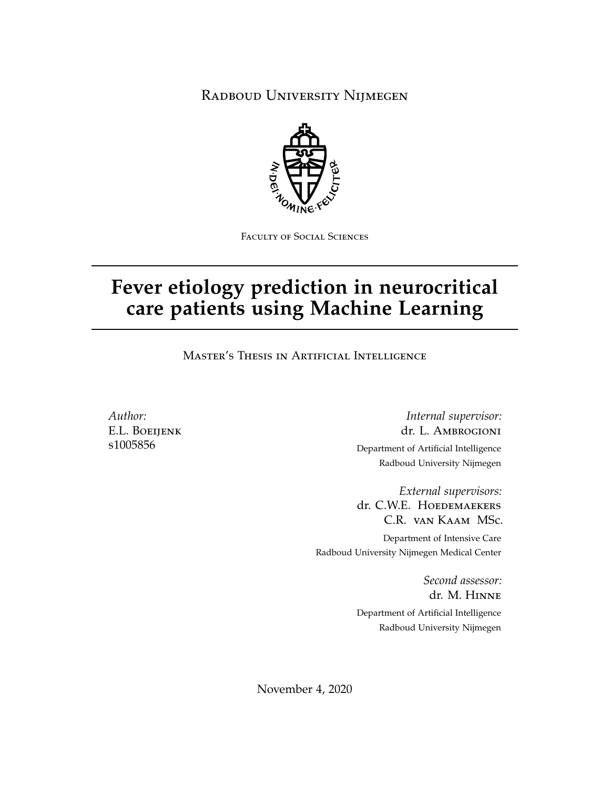Radboud University Nijmegen



Faculty of Social Sciences

# **Fever etiology prediction in neurocritical care patients using Machine Learning**

Master's Thesis in Artificial Intelligence

*Author:* E.L. Boeijenk s1005856

*Internal supervisor:* dr. L. Ambrogioni Department of Artificial Intelligence Radboud University Nijmegen

*External supervisors:* dr. C.W.E. HOEDEMAEKERS C.R. van Kaam MSc. Department of Intensive Care Radboud University Nijmegen Medical Center

> *Second assessor:* dr. M. Hinne Department of Artificial Intelligence Radboud University Nijmegen

November 4, 2020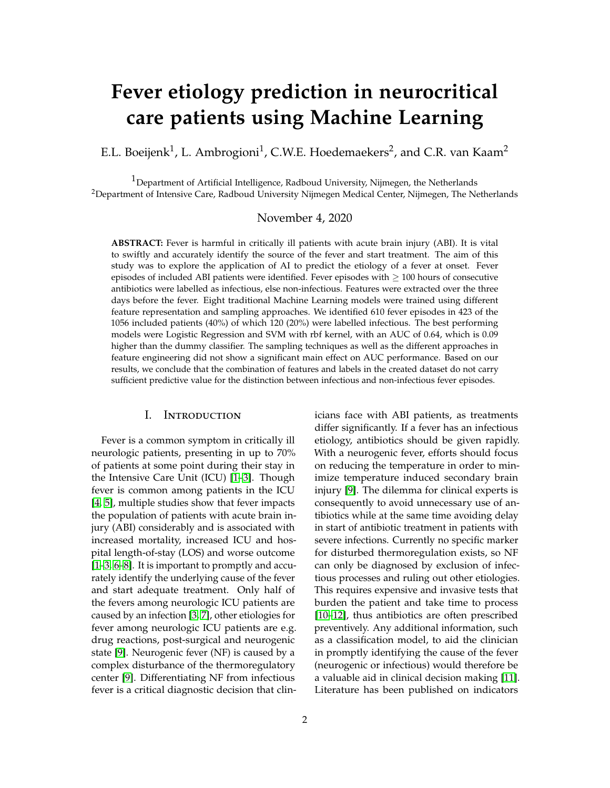# **Fever etiology prediction in neurocritical care patients using Machine Learning**

E.L. Boeijenk $^1$ , L. Ambrogioni $^1$ , C.W.E. Hoedemaekers $^2$ , and C.R. van Kaam $^2$ 

 $1$ Department of Artificial Intelligence, Radboud University, Nijmegen, the Netherlands <sup>2</sup>Department of Intensive Care, Radboud University Nijmegen Medical Center, Nijmegen, The Netherlands

## November 4, 2020

**ABSTRACT:** Fever is harmful in critically ill patients with acute brain injury (ABI). It is vital to swiftly and accurately identify the source of the fever and start treatment. The aim of this study was to explore the application of AI to predict the etiology of a fever at onset. Fever episodes of included ABI patients were identified. Fever episodes with  $\geq 100$  hours of consecutive antibiotics were labelled as infectious, else non-infectious. Features were extracted over the three days before the fever. Eight traditional Machine Learning models were trained using different feature representation and sampling approaches. We identified 610 fever episodes in 423 of the 1056 included patients (40%) of which 120 (20%) were labelled infectious. The best performing models were Logistic Regression and SVM with rbf kernel, with an AUC of 0.64, which is 0.09 higher than the dummy classifier. The sampling techniques as well as the different approaches in feature engineering did not show a significant main effect on AUC performance. Based on our results, we conclude that the combination of features and labels in the created dataset do not carry sufficient predictive value for the distinction between infectious and non-infectious fever episodes.

# I. Introduction

Fever is a common symptom in critically ill neurologic patients, presenting in up to 70% of patients at some point during their stay in the Intensive Care Unit (ICU) [\[1](#page-14-0)[–3\]](#page-14-1). Though fever is common among patients in the ICU [\[4,](#page-14-2) [5\]](#page-14-3), multiple studies show that fever impacts the population of patients with acute brain injury (ABI) considerably and is associated with increased mortality, increased ICU and hospital length-of-stay (LOS) and worse outcome [\[1](#page-14-0)[–3,](#page-14-1) [6](#page-15-0)[–8\]](#page-15-1). It is important to promptly and accurately identify the underlying cause of the fever and start adequate treatment. Only half of the fevers among neurologic ICU patients are caused by an infection [\[3,](#page-14-1) [7\]](#page-15-2), other etiologies for fever among neurologic ICU patients are e.g. drug reactions, post-surgical and neurogenic state [\[9\]](#page-15-3). Neurogenic fever (NF) is caused by a complex disturbance of the thermoregulatory center [\[9\]](#page-15-3). Differentiating NF from infectious fever is a critical diagnostic decision that clinicians face with ABI patients, as treatments differ significantly. If a fever has an infectious etiology, antibiotics should be given rapidly. With a neurogenic fever, efforts should focus on reducing the temperature in order to minimize temperature induced secondary brain injury [\[9\]](#page-15-3). The dilemma for clinical experts is consequently to avoid unnecessary use of antibiotics while at the same time avoiding delay in start of antibiotic treatment in patients with severe infections. Currently no specific marker for disturbed thermoregulation exists, so NF can only be diagnosed by exclusion of infectious processes and ruling out other etiologies. This requires expensive and invasive tests that burden the patient and take time to process [\[10](#page-15-4)[–12\]](#page-15-5), thus antibiotics are often prescribed preventively. Any additional information, such as a classification model, to aid the clinician in promptly identifying the cause of the fever (neurogenic or infectious) would therefore be a valuable aid in clinical decision making [\[11\]](#page-15-6). Literature has been published on indicators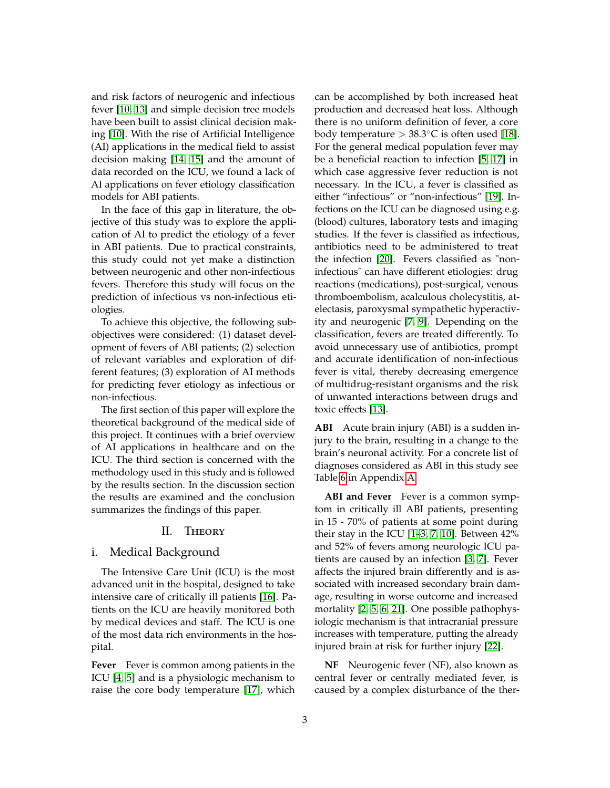and risk factors of neurogenic and infectious fever [\[10,](#page-15-4) [13\]](#page-15-7) and simple decision tree models have been built to assist clinical decision making [\[10\]](#page-15-4). With the rise of Artificial Intelligence (AI) applications in the medical field to assist decision making [\[14,](#page-15-8) [15\]](#page-15-9) and the amount of data recorded on the ICU, we found a lack of AI applications on fever etiology classification models for ABI patients.

In the face of this gap in literature, the objective of this study was to explore the application of AI to predict the etiology of a fever in ABI patients. Due to practical constraints, this study could not yet make a distinction between neurogenic and other non-infectious fevers. Therefore this study will focus on the prediction of infectious vs non-infectious etiologies.

To achieve this objective, the following subobjectives were considered: (1) dataset development of fevers of ABI patients; (2) selection of relevant variables and exploration of different features; (3) exploration of AI methods for predicting fever etiology as infectious or non-infectious.

The first section of this paper will explore the theoretical background of the medical side of this project. It continues with a brief overview of AI applications in healthcare and on the ICU. The third section is concerned with the methodology used in this study and is followed by the results section. In the discussion section the results are examined and the conclusion summarizes the findings of this paper.

# II. Theory

# i. Medical Background

The Intensive Care Unit (ICU) is the most advanced unit in the hospital, designed to take intensive care of critically ill patients [\[16\]](#page-15-10). Patients on the ICU are heavily monitored both by medical devices and staff. The ICU is one of the most data rich environments in the hospital.

**Fever** Fever is common among patients in the ICU [\[4,](#page-14-2) [5\]](#page-14-3) and is a physiologic mechanism to raise the core body temperature [\[17\]](#page-15-11), which

can be accomplished by both increased heat production and decreased heat loss. Although there is no uniform definition of fever, a core body temperature >  $38.3^{\circ}$ C is often used [\[18\]](#page-15-12). For the general medical population fever may be a beneficial reaction to infection [\[5,](#page-14-3) [17\]](#page-15-11) in which case aggressive fever reduction is not necessary. In the ICU, a fever is classified as either "infectious" or "non-infectious" [\[19\]](#page-15-13). Infections on the ICU can be diagnosed using e.g. (blood) cultures, laboratory tests and imaging studies. If the fever is classified as infectious, antibiotics need to be administered to treat the infection [\[20\]](#page-15-14). Fevers classified as "noninfectious" can have different etiologies: drug reactions (medications), post-surgical, venous thromboembolism, acalculous cholecystitis, atelectasis, paroxysmal sympathetic hyperactivity and neurogenic [\[7,](#page-15-2) [9\]](#page-15-3). Depending on the classification, fevers are treated differently. To avoid unnecessary use of antibiotics, prompt and accurate identification of non-infectious fever is vital, thereby decreasing emergence of multidrug-resistant organisms and the risk of unwanted interactions between drugs and toxic effects [\[13\]](#page-15-7).

**ABI** Acute brain injury (ABI) is a sudden injury to the brain, resulting in a change to the brain's neuronal activity. For a concrete list of diagnoses considered as ABI in this study see Table [6](#page-20-0) in Appendix [A.](#page-18-0)

**ABI and Fever** Fever is a common symptom in critically ill ABI patients, presenting in 15 - 70% of patients at some point during their stay in the ICU [\[1–](#page-14-0)[3,](#page-14-1) [7,](#page-15-2) [10\]](#page-15-4). Between 42% and 52% of fevers among neurologic ICU patients are caused by an infection [\[3,](#page-14-1) [7\]](#page-15-2). Fever affects the injured brain differently and is associated with increased secondary brain damage, resulting in worse outcome and increased mortality [\[2,](#page-14-4) [5,](#page-14-3) [6,](#page-15-0) [21\]](#page-15-15). One possible pathophysiologic mechanism is that intracranial pressure increases with temperature, putting the already injured brain at risk for further injury [\[22\]](#page-16-0).

**NF** Neurogenic fever (NF), also known as central fever or centrally mediated fever, is caused by a complex disturbance of the ther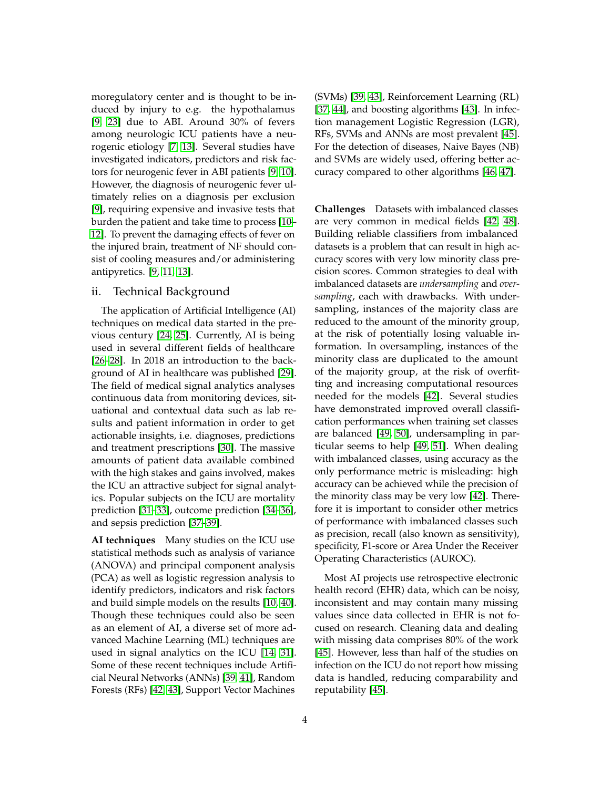moregulatory center and is thought to be induced by injury to e.g. the hypothalamus [\[9,](#page-15-3) [23\]](#page-16-1) due to ABI. Around 30% of fevers among neurologic ICU patients have a neurogenic etiology [\[7,](#page-15-2) [13\]](#page-15-7). Several studies have investigated indicators, predictors and risk factors for neurogenic fever in ABI patients [\[9,](#page-15-3) [10\]](#page-15-4). However, the diagnosis of neurogenic fever ultimately relies on a diagnosis per exclusion [\[9\]](#page-15-3), requiring expensive and invasive tests that burden the patient and take time to process [\[10–](#page-15-4) [12\]](#page-15-5). To prevent the damaging effects of fever on the injured brain, treatment of NF should consist of cooling measures and/or administering antipyretics. [\[9,](#page-15-3) [11,](#page-15-6) [13\]](#page-15-7).

# ii. Technical Background

The application of Artificial Intelligence (AI) techniques on medical data started in the previous century [\[24,](#page-16-2) [25\]](#page-16-3). Currently, AI is being used in several different fields of healthcare [\[26](#page-16-4)[–28\]](#page-16-5). In 2018 an introduction to the background of AI in healthcare was published [\[29\]](#page-16-6). The field of medical signal analytics analyses continuous data from monitoring devices, situational and contextual data such as lab results and patient information in order to get actionable insights, i.e. diagnoses, predictions and treatment prescriptions [\[30\]](#page-16-7). The massive amounts of patient data available combined with the high stakes and gains involved, makes the ICU an attractive subject for signal analytics. Popular subjects on the ICU are mortality prediction [\[31](#page-16-8)[–33\]](#page-16-9), outcome prediction [\[34–](#page-16-10)[36\]](#page-16-11), and sepsis prediction [\[37](#page-17-0)[–39\]](#page-17-1).

**AI techniques** Many studies on the ICU use statistical methods such as analysis of variance (ANOVA) and principal component analysis (PCA) as well as logistic regression analysis to identify predictors, indicators and risk factors and build simple models on the results [\[10,](#page-15-4) [40\]](#page-17-2). Though these techniques could also be seen as an element of AI, a diverse set of more advanced Machine Learning (ML) techniques are used in signal analytics on the ICU [\[14,](#page-15-8) [31\]](#page-16-8). Some of these recent techniques include Artificial Neural Networks (ANNs) [\[39,](#page-17-1) [41\]](#page-17-3), Random Forests (RFs) [\[42,](#page-17-4) [43\]](#page-17-5), Support Vector Machines

(SVMs) [\[39,](#page-17-1) [43\]](#page-17-5), Reinforcement Learning (RL) [\[37,](#page-17-0) [44\]](#page-17-6), and boosting algorithms [\[43\]](#page-17-5). In infection management Logistic Regression (LGR), RFs, SVMs and ANNs are most prevalent [\[45\]](#page-17-7). For the detection of diseases, Naive Bayes (NB) and SVMs are widely used, offering better accuracy compared to other algorithms [\[46,](#page-17-8) [47\]](#page-17-9).

<span id="page-3-0"></span>**Challenges** Datasets with imbalanced classes are very common in medical fields [\[42,](#page-17-4) [48\]](#page-17-10). Building reliable classifiers from imbalanced datasets is a problem that can result in high accuracy scores with very low minority class precision scores. Common strategies to deal with imbalanced datasets are *undersampling* and *oversampling*, each with drawbacks. With undersampling, instances of the majority class are reduced to the amount of the minority group, at the risk of potentially losing valuable information. In oversampling, instances of the minority class are duplicated to the amount of the majority group, at the risk of overfitting and increasing computational resources needed for the models [\[42\]](#page-17-4). Several studies have demonstrated improved overall classification performances when training set classes are balanced [\[49,](#page-17-11) [50\]](#page-18-1), undersampling in particular seems to help [\[49,](#page-17-11) [51\]](#page-18-2). When dealing with imbalanced classes, using accuracy as the only performance metric is misleading: high accuracy can be achieved while the precision of the minority class may be very low [\[42\]](#page-17-4). Therefore it is important to consider other metrics of performance with imbalanced classes such as precision, recall (also known as sensitivity), specificity, F1-score or Area Under the Receiver Operating Characteristics (AUROC).

Most AI projects use retrospective electronic health record (EHR) data, which can be noisy, inconsistent and may contain many missing values since data collected in EHR is not focused on research. Cleaning data and dealing with missing data comprises 80% of the work [\[45\]](#page-17-7). However, less than half of the studies on infection on the ICU do not report how missing data is handled, reducing comparability and reputability [\[45\]](#page-17-7).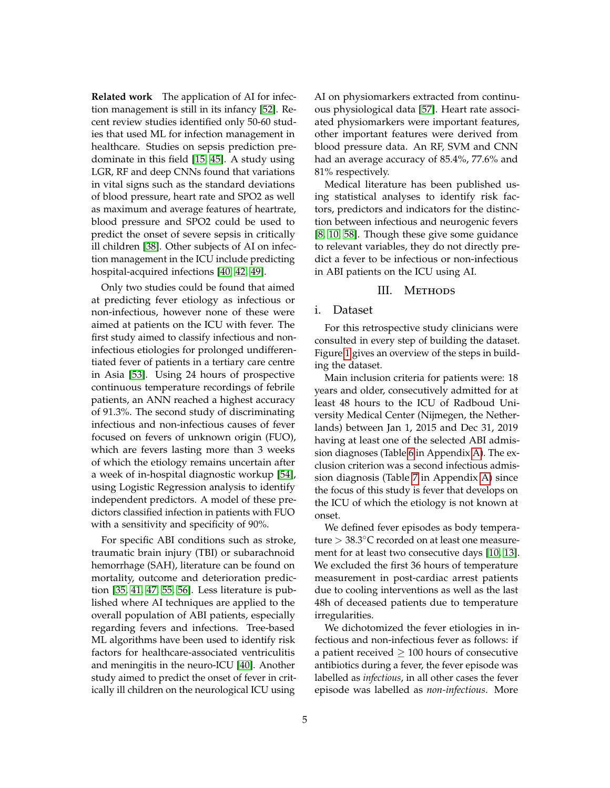**Related work** The application of AI for infection management is still in its infancy [\[52\]](#page-18-3). Recent review studies identified only 50-60 studies that used ML for infection management in healthcare. Studies on sepsis prediction predominate in this field [\[15,](#page-15-9) [45\]](#page-17-7). A study using LGR, RF and deep CNNs found that variations in vital signs such as the standard deviations of blood pressure, heart rate and SPO2 as well as maximum and average features of heartrate, blood pressure and SPO2 could be used to predict the onset of severe sepsis in critically ill children [\[38\]](#page-17-12). Other subjects of AI on infection management in the ICU include predicting hospital-acquired infections [\[40,](#page-17-2) [42,](#page-17-4) [49\]](#page-17-11).

Only two studies could be found that aimed at predicting fever etiology as infectious or non-infectious, however none of these were aimed at patients on the ICU with fever. The first study aimed to classify infectious and noninfectious etiologies for prolonged undifferentiated fever of patients in a tertiary care centre in Asia [\[53\]](#page-18-4). Using 24 hours of prospective continuous temperature recordings of febrile patients, an ANN reached a highest accuracy of 91.3%. The second study of discriminating infectious and non-infectious causes of fever focused on fevers of unknown origin (FUO), which are fevers lasting more than 3 weeks of which the etiology remains uncertain after a week of in-hospital diagnostic workup [\[54\]](#page-18-5), using Logistic Regression analysis to identify independent predictors. A model of these predictors classified infection in patients with FUO with a sensitivity and specificity of 90%.

For specific ABI conditions such as stroke, traumatic brain injury (TBI) or subarachnoid hemorrhage (SAH), literature can be found on mortality, outcome and deterioration prediction [\[35,](#page-16-12) [41,](#page-17-3) [47,](#page-17-9) [55,](#page-18-6) [56\]](#page-18-7). Less literature is published where AI techniques are applied to the overall population of ABI patients, especially regarding fevers and infections. Tree-based ML algorithms have been used to identify risk factors for healthcare-associated ventriculitis and meningitis in the neuro-ICU [\[40\]](#page-17-2). Another study aimed to predict the onset of fever in critically ill children on the neurological ICU using AI on physiomarkers extracted from continuous physiological data [\[57\]](#page-18-8). Heart rate associated physiomarkers were important features, other important features were derived from blood pressure data. An RF, SVM and CNN had an average accuracy of 85.4%, 77.6% and 81% respectively.

Medical literature has been published using statistical analyses to identify risk factors, predictors and indicators for the distinction between infectious and neurogenic fevers [\[8,](#page-15-1) [10,](#page-15-4) [58\]](#page-18-9). Though these give some guidance to relevant variables, they do not directly predict a fever to be infectious or non-infectious in ABI patients on the ICU using AI.

## III. METHODS

# i. Dataset

For this retrospective study clinicians were consulted in every step of building the dataset. Figure [1](#page-5-0) gives an overview of the steps in building the dataset.

Main inclusion criteria for patients were: 18 years and older, consecutively admitted for at least 48 hours to the ICU of Radboud University Medical Center (Nijmegen, the Netherlands) between Jan 1, 2015 and Dec 31, 2019 having at least one of the selected ABI admission diagnoses (Table [6](#page-20-0) in Appendix [A\)](#page-18-0). The exclusion criterion was a second infectious admission diagnosis (Table [7](#page-21-0) in Appendix [A\)](#page-18-0) since the focus of this study is fever that develops on the ICU of which the etiology is not known at onset.

We defined fever episodes as body temperature > 38.3◦C recorded on at least one measurement for at least two consecutive days [\[10,](#page-15-4) [13\]](#page-15-7). We excluded the first 36 hours of temperature measurement in post-cardiac arrest patients due to cooling interventions as well as the last 48h of deceased patients due to temperature irregularities.

We dichotomized the fever etiologies in infectious and non-infectious fever as follows: if a patient received  $\geq 100$  hours of consecutive antibiotics during a fever, the fever episode was labelled as *infectious*, in all other cases the fever episode was labelled as *non-infectious*. More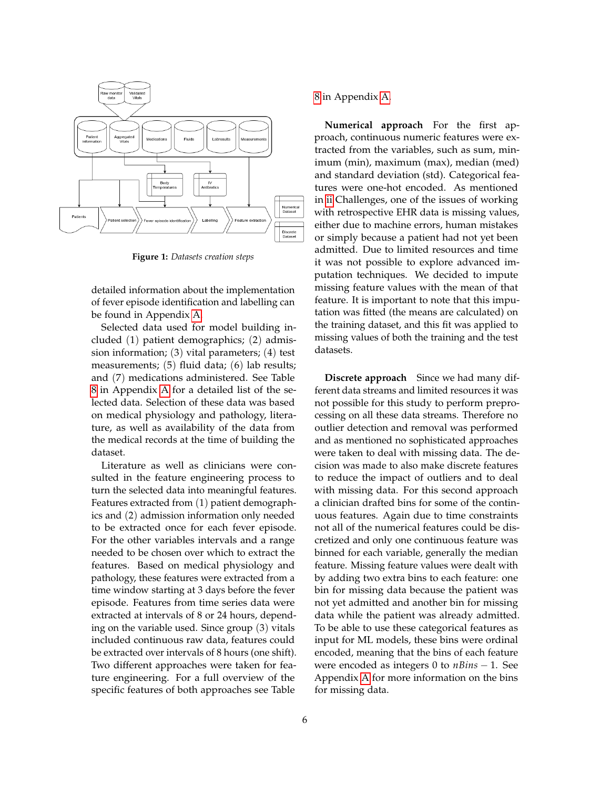<span id="page-5-0"></span>

**Figure 1:** *Datasets creation steps*

detailed information about the implementation of fever episode identification and labelling can be found in Appendix [A.](#page-18-0)

Selected data used for model building included (1) patient demographics; (2) admission information; (3) vital parameters; (4) test measurements; (5) fluid data; (6) lab results; and (7) medications administered. See Table [8](#page-22-0) in Appendix [A](#page-18-0) for a detailed list of the selected data. Selection of these data was based on medical physiology and pathology, literature, as well as availability of the data from the medical records at the time of building the dataset.

Literature as well as clinicians were consulted in the feature engineering process to turn the selected data into meaningful features. Features extracted from (1) patient demographics and (2) admission information only needed to be extracted once for each fever episode. For the other variables intervals and a range needed to be chosen over which to extract the features. Based on medical physiology and pathology, these features were extracted from a time window starting at 3 days before the fever episode. Features from time series data were extracted at intervals of 8 or 24 hours, depending on the variable used. Since group (3) vitals included continuous raw data, features could be extracted over intervals of 8 hours (one shift). Two different approaches were taken for feature engineering. For a full overview of the specific features of both approaches see Table

[8](#page-22-0) in Appendix [A.](#page-18-0)

**Numerical approach** For the first approach, continuous numeric features were extracted from the variables, such as sum, minimum (min), maximum (max), median (med) and standard deviation (std). Categorical features were one-hot encoded. As mentioned in [ii](#page-3-0) Challenges, one of the issues of working with retrospective EHR data is missing values, either due to machine errors, human mistakes or simply because a patient had not yet been admitted. Due to limited resources and time it was not possible to explore advanced imputation techniques. We decided to impute missing feature values with the mean of that feature. It is important to note that this imputation was fitted (the means are calculated) on the training dataset, and this fit was applied to missing values of both the training and the test datasets.

**Discrete approach** Since we had many different data streams and limited resources it was not possible for this study to perform preprocessing on all these data streams. Therefore no outlier detection and removal was performed and as mentioned no sophisticated approaches were taken to deal with missing data. The decision was made to also make discrete features to reduce the impact of outliers and to deal with missing data. For this second approach a clinician drafted bins for some of the continuous features. Again due to time constraints not all of the numerical features could be discretized and only one continuous feature was binned for each variable, generally the median feature. Missing feature values were dealt with by adding two extra bins to each feature: one bin for missing data because the patient was not yet admitted and another bin for missing data while the patient was already admitted. To be able to use these categorical features as input for ML models, these bins were ordinal encoded, meaning that the bins of each feature were encoded as integers 0 to *nBins* − 1. See Appendix [A](#page-18-0) for more information on the bins for missing data.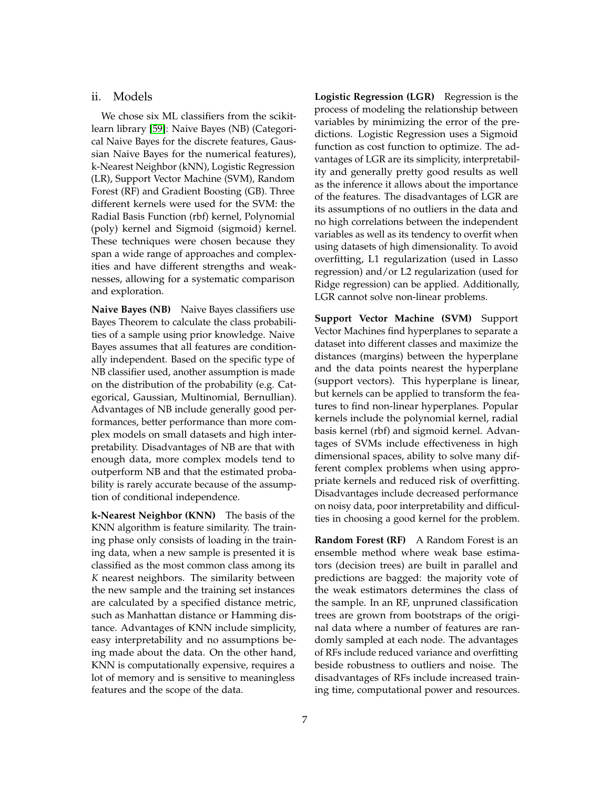# ii. Models

We chose six ML classifiers from the scikitlearn library [\[59\]](#page-18-10): Naive Bayes (NB) (Categorical Naive Bayes for the discrete features, Gaussian Naive Bayes for the numerical features), k-Nearest Neighbor (kNN), Logistic Regression (LR), Support Vector Machine (SVM), Random Forest (RF) and Gradient Boosting (GB). Three different kernels were used for the SVM: the Radial Basis Function (rbf) kernel, Polynomial (poly) kernel and Sigmoid (sigmoid) kernel. These techniques were chosen because they span a wide range of approaches and complexities and have different strengths and weaknesses, allowing for a systematic comparison and exploration.

**Naive Bayes (NB)** Naive Bayes classifiers use Bayes Theorem to calculate the class probabilities of a sample using prior knowledge. Naive Bayes assumes that all features are conditionally independent. Based on the specific type of NB classifier used, another assumption is made on the distribution of the probability (e.g. Categorical, Gaussian, Multinomial, Bernullian). Advantages of NB include generally good performances, better performance than more complex models on small datasets and high interpretability. Disadvantages of NB are that with enough data, more complex models tend to outperform NB and that the estimated probability is rarely accurate because of the assumption of conditional independence.

**k-Nearest Neighbor (KNN)** The basis of the KNN algorithm is feature similarity. The training phase only consists of loading in the training data, when a new sample is presented it is classified as the most common class among its *K* nearest neighbors. The similarity between the new sample and the training set instances are calculated by a specified distance metric, such as Manhattan distance or Hamming distance. Advantages of KNN include simplicity, easy interpretability and no assumptions being made about the data. On the other hand, KNN is computationally expensive, requires a lot of memory and is sensitive to meaningless features and the scope of the data.

**Logistic Regression (LGR)** Regression is the process of modeling the relationship between variables by minimizing the error of the predictions. Logistic Regression uses a Sigmoid function as cost function to optimize. The advantages of LGR are its simplicity, interpretability and generally pretty good results as well as the inference it allows about the importance of the features. The disadvantages of LGR are its assumptions of no outliers in the data and no high correlations between the independent variables as well as its tendency to overfit when using datasets of high dimensionality. To avoid overfitting, L1 regularization (used in Lasso regression) and/or L2 regularization (used for Ridge regression) can be applied. Additionally, LGR cannot solve non-linear problems.

**Support Vector Machine (SVM)** Support Vector Machines find hyperplanes to separate a dataset into different classes and maximize the distances (margins) between the hyperplane and the data points nearest the hyperplane (support vectors). This hyperplane is linear, but kernels can be applied to transform the features to find non-linear hyperplanes. Popular kernels include the polynomial kernel, radial basis kernel (rbf) and sigmoid kernel. Advantages of SVMs include effectiveness in high dimensional spaces, ability to solve many different complex problems when using appropriate kernels and reduced risk of overfitting. Disadvantages include decreased performance on noisy data, poor interpretability and difficulties in choosing a good kernel for the problem.

**Random Forest (RF)** A Random Forest is an ensemble method where weak base estimators (decision trees) are built in parallel and predictions are bagged: the majority vote of the weak estimators determines the class of the sample. In an RF, unpruned classification trees are grown from bootstraps of the original data where a number of features are randomly sampled at each node. The advantages of RFs include reduced variance and overfitting beside robustness to outliers and noise. The disadvantages of RFs include increased training time, computational power and resources.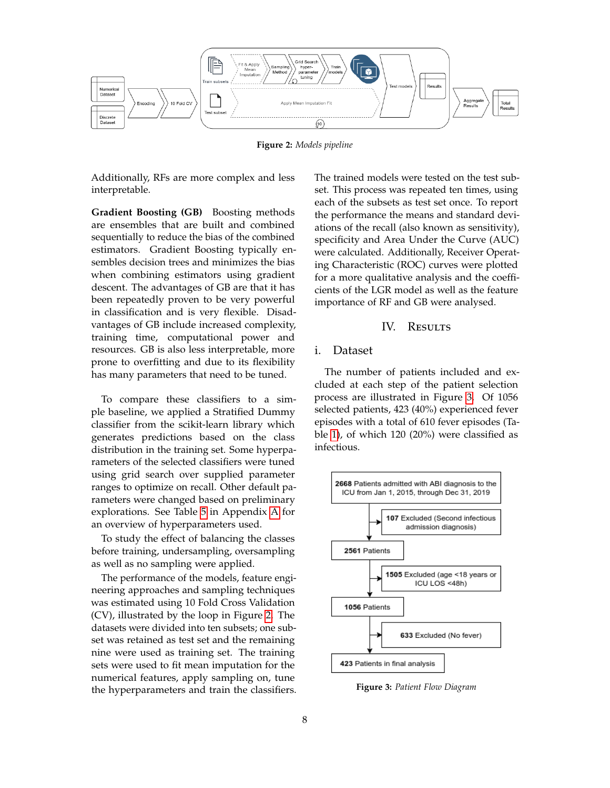<span id="page-7-0"></span>

**Figure 2:** *Models pipeline*

Additionally, RFs are more complex and less interpretable.

**Gradient Boosting (GB)** Boosting methods are ensembles that are built and combined sequentially to reduce the bias of the combined estimators. Gradient Boosting typically ensembles decision trees and minimizes the bias when combining estimators using gradient descent. The advantages of GB are that it has been repeatedly proven to be very powerful in classification and is very flexible. Disadvantages of GB include increased complexity, training time, computational power and resources. GB is also less interpretable, more prone to overfitting and due to its flexibility has many parameters that need to be tuned.

To compare these classifiers to a simple baseline, we applied a Stratified Dummy classifier from the scikit-learn library which generates predictions based on the class distribution in the training set. Some hyperparameters of the selected classifiers were tuned using grid search over supplied parameter ranges to optimize on recall. Other default parameters were changed based on preliminary explorations. See Table [5](#page-19-0) in Appendix [A](#page-18-0) for an overview of hyperparameters used.

To study the effect of balancing the classes before training, undersampling, oversampling as well as no sampling were applied.

The performance of the models, feature engineering approaches and sampling techniques was estimated using 10 Fold Cross Validation (CV), illustrated by the loop in Figure [2.](#page-7-0) The datasets were divided into ten subsets; one subset was retained as test set and the remaining nine were used as training set. The training sets were used to fit mean imputation for the numerical features, apply sampling on, tune the hyperparameters and train the classifiers. The trained models were tested on the test subset. This process was repeated ten times, using each of the subsets as test set once. To report the performance the means and standard deviations of the recall (also known as sensitivity), specificity and Area Under the Curve (AUC) were calculated. Additionally, Receiver Operating Characteristic (ROC) curves were plotted for a more qualitative analysis and the coefficients of the LGR model as well as the feature importance of RF and GB were analysed.

# IV. RESULTS

# i. Dataset

The number of patients included and excluded at each step of the patient selection process are illustrated in Figure [3.](#page-7-1) Of 1056 selected patients, 423 (40%) experienced fever episodes with a total of 610 fever episodes (Table [1\)](#page-8-0), of which 120 (20%) were classified as infectious.

<span id="page-7-1"></span>

**Figure 3:** *Patient Flow Diagram*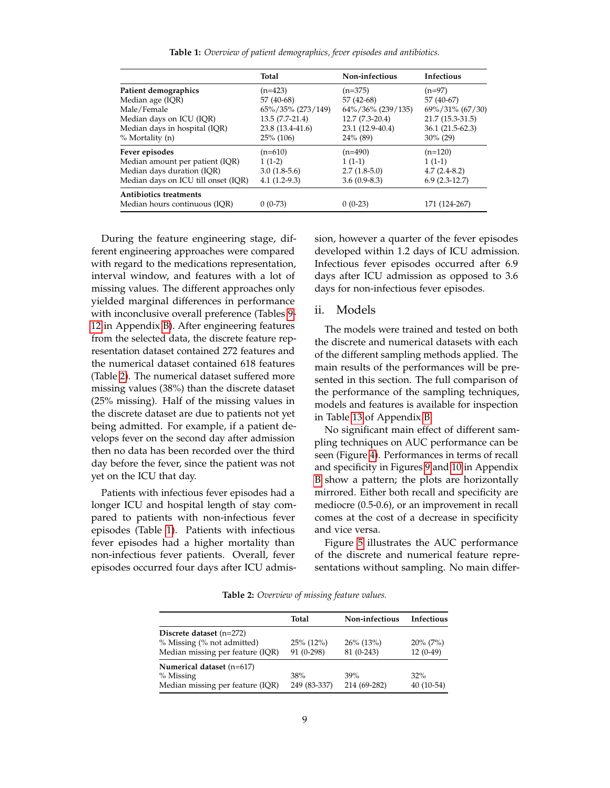| Table 1: Overview of patient demographics, fever episodes and antibiotics. |  |  |  |  |  |
|----------------------------------------------------------------------------|--|--|--|--|--|
|----------------------------------------------------------------------------|--|--|--|--|--|

<span id="page-8-0"></span>

|                                     | Total             | Non-infectious    | Infectious        |
|-------------------------------------|-------------------|-------------------|-------------------|
| Patient demographics                | $(n=423)$         | $(n=375)$         | $(n=97)$          |
| Median age (IQR)                    | 57 (40-68)        | 57 (42-68)        | 57 (40-67)        |
| Male/Female                         | 65%/35% (273/149) | 64%/36% (239/135) | 69%/31% (67/30)   |
| Median days on ICU (IQR)            | $13.5(7.7-21.4)$  | $12.7(7.3-20.4)$  | 21.7 (15.3-31.5)  |
| Median days in hospital (IQR)       | 23.8 (13.4-41.6)  | 23.1 (12.9-40.4)  | $36.1(21.5-62.3)$ |
| % Mortality (n)                     | $25\%$ (106)      | 24% (89)          | $30\%$ (29)       |
| Fever episodes                      | $(n=610)$         | $(n=490)$         | $(n=120)$         |
| Median amount per patient (IQR)     | $1(1-2)$          | $1(1-1)$          | $1(1-1)$          |
| Median days duration (IQR)          | $3.0(1.8-5.6)$    | $2.7(1.8-5.0)$    | $4.7(2.4-8.2)$    |
| Median days on ICU till onset (IQR) | $4.1(1.2-9.3)$    | $3.6(0.9-8.3)$    | $6.9(2.3-12.7)$   |
| <b>Antibiotics treatments</b>       |                   |                   |                   |
| Median hours continuous (IOR)       | $0(0-73)$         | $0(0-23)$         | 171 (124-267)     |

During the feature engineering stage, different engineering approaches were compared with regard to the medications representation, interval window, and features with a lot of missing values. The different approaches only yielded marginal differences in performance with inconclusive overall preference (Tables [9-](#page-24-0) [12](#page-25-0) in Appendix [B\)](#page-24-1). After engineering features from the selected data, the discrete feature representation dataset contained 272 features and the numerical dataset contained 618 features (Table [2\)](#page-8-1). The numerical dataset suffered more missing values (38%) than the discrete dataset (25% missing). Half of the missing values in the discrete dataset are due to patients not yet being admitted. For example, if a patient develops fever on the second day after admission then no data has been recorded over the third day before the fever, since the patient was not yet on the ICU that day.

Patients with infectious fever episodes had a longer ICU and hospital length of stay compared to patients with non-infectious fever episodes (Table [1\)](#page-8-0). Patients with infectious fever episodes had a higher mortality than non-infectious fever patients. Overall, fever episodes occurred four days after ICU admission, however a quarter of the fever episodes developed within 1.2 days of ICU admission. Infectious fever episodes occurred after 6.9 days after ICU admission as opposed to 3.6 days for non-infectious fever episodes.

### ii. Models

The models were trained and tested on both the discrete and numerical datasets with each of the different sampling methods applied. The main results of the performances will be presented in this section. The full comparison of the performance of the sampling techniques, models and features is available for inspection in Table [13](#page-26-0) of Appendix [B.](#page-24-1)

No significant main effect of different sampling techniques on AUC performance can be seen (Figure [4\)](#page-9-0). Performances in terms of recall and specificity in Figures [9](#page-28-0) and [10](#page-28-0) in Appendix [B](#page-24-1) show a pattern; the plots are horizontally mirrored. Either both recall and specificity are mediocre (0.5-0.6), or an improvement in recall comes at the cost of a decrease in specificity and vice versa.

Figure [5](#page-9-1) illustrates the AUC performance of the discrete and numerical feature representations without sampling. No main differ-

**Table 2:** *Overview of missing feature values.*

<span id="page-8-1"></span>

|                                                                                              | Total                      | Non-infectious              | Infectious                |
|----------------------------------------------------------------------------------------------|----------------------------|-----------------------------|---------------------------|
| Discrete dataset $(n=272)$<br>% Missing (% not admitted)<br>Median missing per feature (IQR) | $25\%$ (12%)<br>91 (0-298) | $26\%$ (13%)<br>$81(0-243)$ | $20\%$ (7%)<br>$12(0-49)$ |
| Numerical dataset (n=617)<br>% Missing<br>Median missing per feature (IQR)                   | 38%<br>249 (83-337)        | 39%<br>214 (69-282)         | 32%<br>$40(10-54)$        |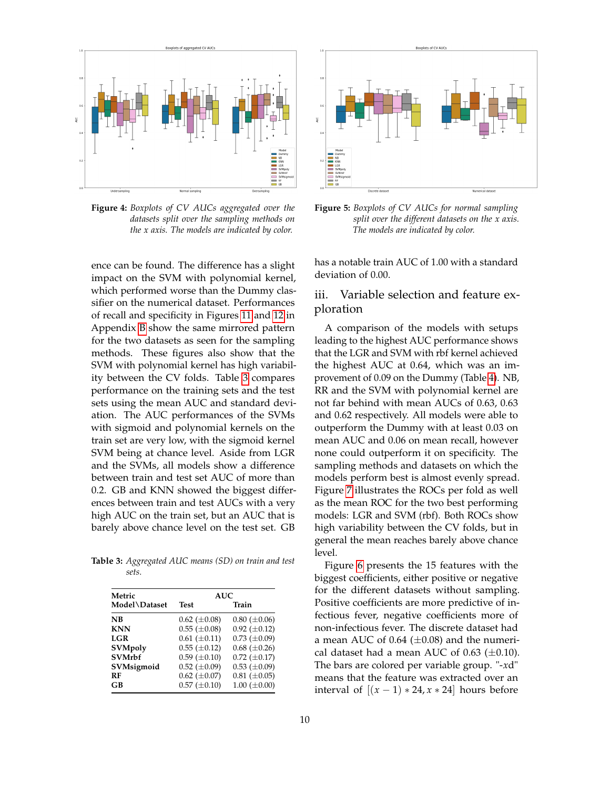<span id="page-9-0"></span>

**Figure 4:** *Boxplots of CV AUCs aggregated over the datasets split over the sampling methods on the x axis. The models are indicated by color.*

ence can be found. The difference has a slight impact on the SVM with polynomial kernel, which performed worse than the Dummy classifier on the numerical dataset. Performances of recall and specificity in Figures [11](#page-28-0) and [12](#page-28-0) in Appendix [B](#page-24-1) show the same mirrored pattern for the two datasets as seen for the sampling methods. These figures also show that the SVM with polynomial kernel has high variability between the CV folds. Table [3](#page-9-2) compares performance on the training sets and the test sets using the mean AUC and standard deviation. The AUC performances of the SVMs with sigmoid and polynomial kernels on the train set are very low, with the sigmoid kernel SVM being at chance level. Aside from LGR and the SVMs, all models show a difference between train and test set AUC of more than 0.2. GB and KNN showed the biggest differences between train and test AUCs with a very high AUC on the train set, but an AUC that is barely above chance level on the test set. GB

<span id="page-9-2"></span>**Table 3:** *Aggregated AUC means (SD) on train and test sets.*

| Metric         | AUC.                  |                     |  |  |  |  |
|----------------|-----------------------|---------------------|--|--|--|--|
| Model\Dataset  | <b>Test</b>           | Train               |  |  |  |  |
| NB             | $0.62$ ( $\pm 0.08$ ) | $0.80~(\pm 0.06)$   |  |  |  |  |
| <b>KNN</b>     | $0.55 \ (\pm 0.08)$   | $0.92 \ (\pm 0.12)$ |  |  |  |  |
| LGR            | $0.61 (\pm 0.11)$     | $0.73 \ (\pm 0.09)$ |  |  |  |  |
| <b>SVMpoly</b> | $0.55 \ (\pm 0.12)$   | $0.68 \ (\pm 0.26)$ |  |  |  |  |
| <b>SVMrbf</b>  | $0.59 \ (\pm 0.10)$   | $0.72 \ (\pm 0.17)$ |  |  |  |  |
| SVMsigmoid     | $0.52 \ (\pm 0.09)$   | $0.53 \ (\pm 0.09)$ |  |  |  |  |
| RF             | $0.62 \ (\pm 0.07)$   | $0.81 (\pm 0.05)$   |  |  |  |  |
| GВ             | $0.57 (\pm 0.10)$     | $1.00 \ (\pm 0.00)$ |  |  |  |  |

<span id="page-9-1"></span>



has a notable train AUC of 1.00 with a standard deviation of 0.00.

# iii. Variable selection and feature exploration

A comparison of the models with setups leading to the highest AUC performance shows that the LGR and SVM with rbf kernel achieved the highest AUC at 0.64, which was an improvement of 0.09 on the Dummy (Table [4\)](#page-10-0). NB, RR and the SVM with polynomial kernel are not far behind with mean AUCs of 0.63, 0.63 and 0.62 respectively. All models were able to outperform the Dummy with at least 0.03 on mean AUC and 0.06 on mean recall, however none could outperform it on specificity. The sampling methods and datasets on which the models perform best is almost evenly spread. Figure [7](#page-12-0) illustrates the ROCs per fold as well as the mean ROC for the two best performing models: LGR and SVM (rbf). Both ROCs show high variability between the CV folds, but in general the mean reaches barely above chance level.

Figure [6](#page-11-0) presents the 15 features with the biggest coefficients, either positive or negative for the different datasets without sampling. Positive coefficients are more predictive of infectious fever, negative coefficients more of non-infectious fever. The discrete dataset had a mean AUC of 0.64 ( $\pm$ 0.08) and the numerical dataset had a mean AUC of 0.63  $(\pm 0.10)$ . The bars are colored per variable group. "-*x*d" means that the feature was extracted over an interval of  $[(x-1) * 24, x * 24]$  hours before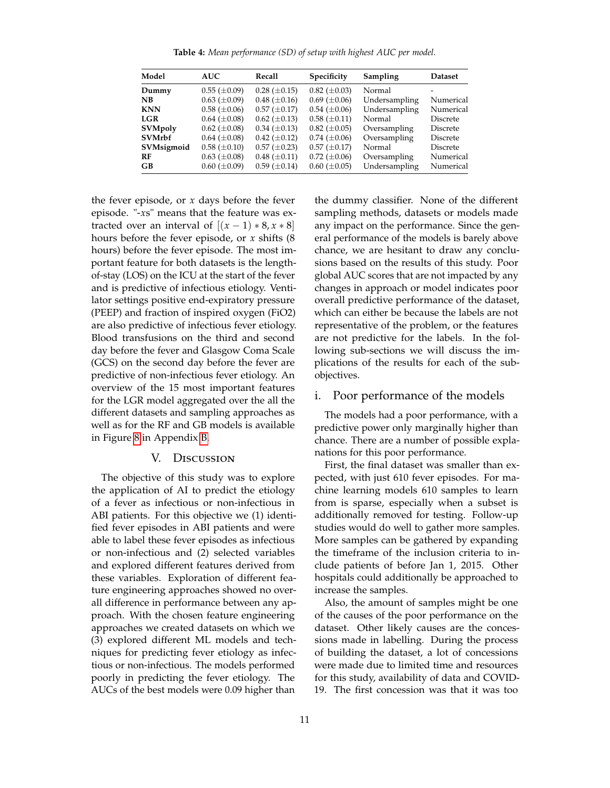**Table 4:** *Mean performance (SD) of setup with highest AUC per model.*

<span id="page-10-0"></span>

| Model<br><b>AUC</b> |                                            | Recall              | Specificity           | Sampling      | <b>Dataset</b>  |  |
|---------------------|--------------------------------------------|---------------------|-----------------------|---------------|-----------------|--|
| Dummy               | $0.55 \ (\pm 0.09)$                        | $0.28 \ (\pm 0.15)$ | $0.82 \ (\pm 0.03)$   | Normal        |                 |  |
| NB.                 | $0.63 \ (\pm 0.09)$                        | $0.48 \ (\pm 0.16)$ | $0.69 \ (\pm 0.06)$   | Undersampling | Numerical       |  |
| <b>KNN</b>          | $0.58 \ (\pm 0.06)$                        | $0.57 (\pm 0.17)$   | $0.54~(\pm 0.06)$     | Undersampling | Numerical       |  |
| <b>LGR</b>          | $0.64~(\pm 0.08)$                          | $0.62 \ (\pm 0.13)$ | $0.58 \ (\pm 0.11)$   | Normal        | <b>Discrete</b> |  |
| <b>SVMpoly</b>      | $0.62 \ (\pm 0.08)$<br>$0.34 \ (\pm 0.13)$ |                     | $0.82$ ( $\pm 0.05$ ) | Oversampling  | <b>Discrete</b> |  |
| <b>SVMrbf</b>       | $0.64~(\pm 0.08)$                          |                     | $0.74~(\pm 0.06)$     | Oversampling  | <b>Discrete</b> |  |
| SVMsigmoid          | $0.58 \ (\pm 0.10)$                        |                     | $0.57 (\pm 0.17)$     | Normal        | <b>Discrete</b> |  |
| RF                  | $0.48 \ (\pm 0.11)$<br>$0.63 \ (\pm 0.08)$ |                     | $0.72~(\pm 0.06)$     | Oversampling  | Numerical       |  |
| <b>GB</b>           | $0.60$ ( $\pm 0.09$ )                      | $0.59 \ (\pm 0.14)$ | $0.60$ ( $\pm 0.05$ ) | Undersampling | Numerical       |  |

the fever episode, or *x* days before the fever episode. "-*x*s" means that the feature was extracted over an interval of  $[(x - 1) * 8, x * 8]$ hours before the fever episode, or *x* shifts (8 hours) before the fever episode. The most important feature for both datasets is the lengthof-stay (LOS) on the ICU at the start of the fever and is predictive of infectious etiology. Ventilator settings positive end-expiratory pressure (PEEP) and fraction of inspired oxygen (FiO2) are also predictive of infectious fever etiology. Blood transfusions on the third and second day before the fever and Glasgow Coma Scale (GCS) on the second day before the fever are predictive of non-infectious fever etiology. An overview of the 15 most important features for the LGR model aggregated over the all the different datasets and sampling approaches as well as for the RF and GB models is available in Figure [8](#page-27-0) in Appendix [B.](#page-24-1)

# V. Discussion

The objective of this study was to explore the application of AI to predict the etiology of a fever as infectious or non-infectious in ABI patients. For this objective we (1) identified fever episodes in ABI patients and were able to label these fever episodes as infectious or non-infectious and (2) selected variables and explored different features derived from these variables. Exploration of different feature engineering approaches showed no overall difference in performance between any approach. With the chosen feature engineering approaches we created datasets on which we (3) explored different ML models and techniques for predicting fever etiology as infectious or non-infectious. The models performed poorly in predicting the fever etiology. The AUCs of the best models were 0.09 higher than

the dummy classifier. None of the different sampling methods, datasets or models made any impact on the performance. Since the general performance of the models is barely above chance, we are hesitant to draw any conclusions based on the results of this study. Poor global AUC scores that are not impacted by any changes in approach or model indicates poor overall predictive performance of the dataset, which can either be because the labels are not representative of the problem, or the features are not predictive for the labels. In the following sub-sections we will discuss the implications of the results for each of the subobjectives.

# i. Poor performance of the models

The models had a poor performance, with a predictive power only marginally higher than chance. There are a number of possible explanations for this poor performance.

First, the final dataset was smaller than expected, with just 610 fever episodes. For machine learning models 610 samples to learn from is sparse, especially when a subset is additionally removed for testing. Follow-up studies would do well to gather more samples. More samples can be gathered by expanding the timeframe of the inclusion criteria to include patients of before Jan 1, 2015. Other hospitals could additionally be approached to increase the samples.

Also, the amount of samples might be one of the causes of the poor performance on the dataset. Other likely causes are the concessions made in labelling. During the process of building the dataset, a lot of concessions were made due to limited time and resources for this study, availability of data and COVID-19. The first concession was that it was too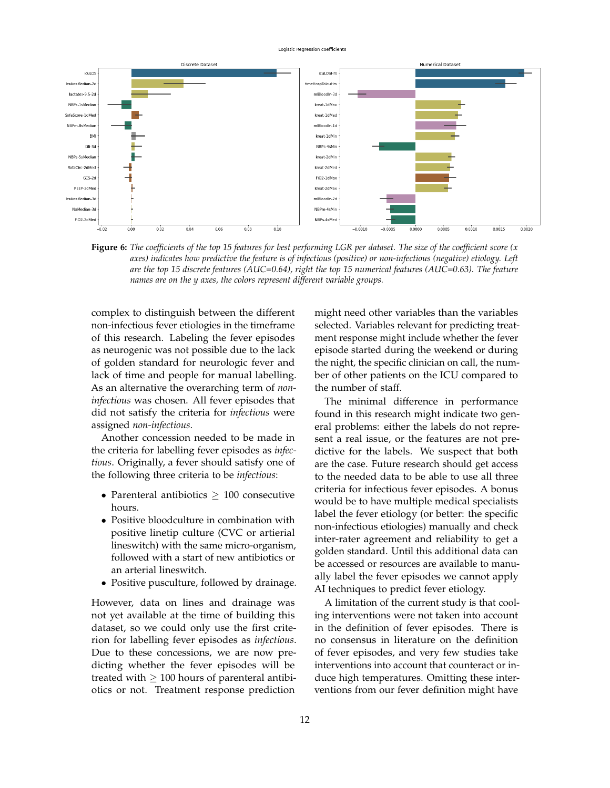#### Logistic Regression coefficients

<span id="page-11-0"></span>

**Figure 6:** *The coefficients of the top 15 features for best performing LGR per dataset. The size of the coefficient score (x axes) indicates how predictive the feature is of infectious (positive) or non-infectious (negative) etiology. Left are the top 15 discrete features (AUC=0.64), right the top 15 numerical features (AUC=0.63). The feature names are on the y axes, the colors represent different variable groups.*

complex to distinguish between the different non-infectious fever etiologies in the timeframe of this research. Labeling the fever episodes as neurogenic was not possible due to the lack of golden standard for neurologic fever and lack of time and people for manual labelling. As an alternative the overarching term of *noninfectious* was chosen. All fever episodes that did not satisfy the criteria for *infectious* were assigned *non-infectious*.

Another concession needed to be made in the criteria for labelling fever episodes as *infectious*. Originally, a fever should satisfy one of the following three criteria to be *infectious*:

- Parenteral antibiotics  $\geq 100$  consecutive hours.
- Positive bloodculture in combination with positive linetip culture (CVC or artierial lineswitch) with the same micro-organism, followed with a start of new antibiotics or an arterial lineswitch.
- Positive pusculture, followed by drainage.

However, data on lines and drainage was not yet available at the time of building this dataset, so we could only use the first criterion for labelling fever episodes as *infectious*. Due to these concessions, we are now predicting whether the fever episodes will be treated with  $\geq 100$  hours of parenteral antibiotics or not. Treatment response prediction

might need other variables than the variables selected. Variables relevant for predicting treatment response might include whether the fever episode started during the weekend or during the night, the specific clinician on call, the number of other patients on the ICU compared to the number of staff.

The minimal difference in performance found in this research might indicate two general problems: either the labels do not represent a real issue, or the features are not predictive for the labels. We suspect that both are the case. Future research should get access to the needed data to be able to use all three criteria for infectious fever episodes. A bonus would be to have multiple medical specialists label the fever etiology (or better: the specific non-infectious etiologies) manually and check inter-rater agreement and reliability to get a golden standard. Until this additional data can be accessed or resources are available to manually label the fever episodes we cannot apply AI techniques to predict fever etiology.

A limitation of the current study is that cooling interventions were not taken into account in the definition of fever episodes. There is no consensus in literature on the definition of fever episodes, and very few studies take interventions into account that counteract or induce high temperatures. Omitting these interventions from our fever definition might have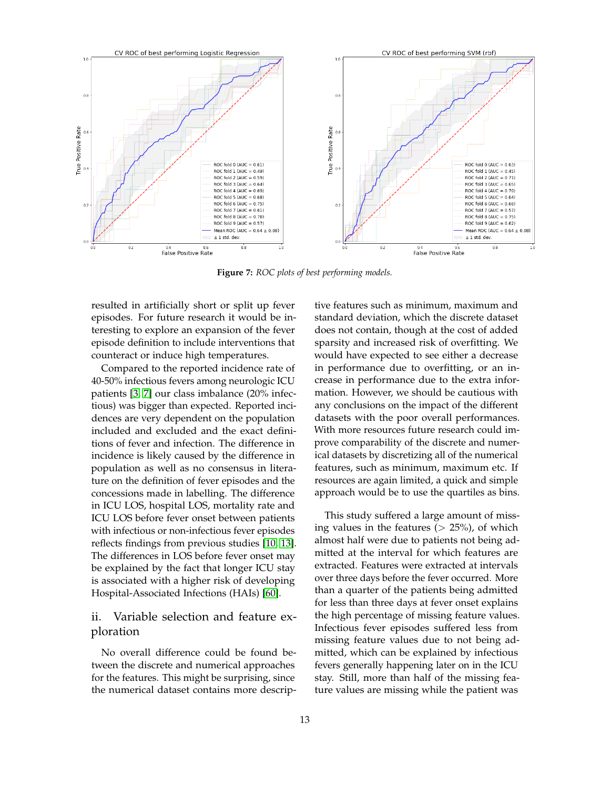<span id="page-12-0"></span>

**Figure 7:** *ROC plots of best performing models.*

resulted in artificially short or split up fever episodes. For future research it would be interesting to explore an expansion of the fever episode definition to include interventions that counteract or induce high temperatures.

Compared to the reported incidence rate of 40-50% infectious fevers among neurologic ICU patients [\[3,](#page-14-1) [7\]](#page-15-2) our class imbalance (20% infectious) was bigger than expected. Reported incidences are very dependent on the population included and excluded and the exact definitions of fever and infection. The difference in incidence is likely caused by the difference in population as well as no consensus in literature on the definition of fever episodes and the concessions made in labelling. The difference in ICU LOS, hospital LOS, mortality rate and ICU LOS before fever onset between patients with infectious or non-infectious fever episodes reflects findings from previous studies [\[10,](#page-15-4) [13\]](#page-15-7). The differences in LOS before fever onset may be explained by the fact that longer ICU stay is associated with a higher risk of developing Hospital-Associated Infections (HAIs) [\[60\]](#page-18-11).

# ii. Variable selection and feature exploration

No overall difference could be found between the discrete and numerical approaches for the features. This might be surprising, since the numerical dataset contains more descriptive features such as minimum, maximum and standard deviation, which the discrete dataset does not contain, though at the cost of added sparsity and increased risk of overfitting. We would have expected to see either a decrease in performance due to overfitting, or an increase in performance due to the extra information. However, we should be cautious with any conclusions on the impact of the different datasets with the poor overall performances. With more resources future research could improve comparability of the discrete and numerical datasets by discretizing all of the numerical features, such as minimum, maximum etc. If resources are again limited, a quick and simple approach would be to use the quartiles as bins.

This study suffered a large amount of missing values in the features  $(> 25%)$ , of which almost half were due to patients not being admitted at the interval for which features are extracted. Features were extracted at intervals over three days before the fever occurred. More than a quarter of the patients being admitted for less than three days at fever onset explains the high percentage of missing feature values. Infectious fever episodes suffered less from missing feature values due to not being admitted, which can be explained by infectious fevers generally happening later on in the ICU stay. Still, more than half of the missing feature values are missing while the patient was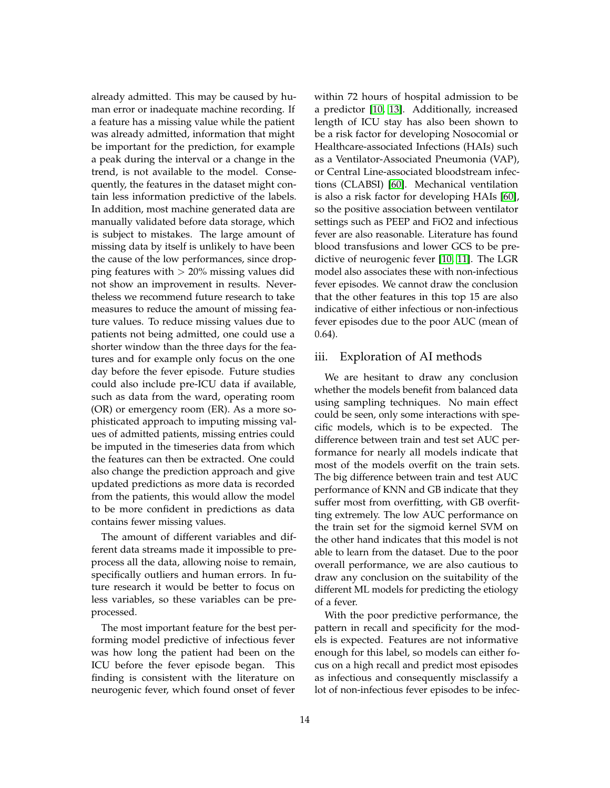already admitted. This may be caused by human error or inadequate machine recording. If a feature has a missing value while the patient was already admitted, information that might be important for the prediction, for example a peak during the interval or a change in the trend, is not available to the model. Consequently, the features in the dataset might contain less information predictive of the labels. In addition, most machine generated data are manually validated before data storage, which is subject to mistakes. The large amount of missing data by itself is unlikely to have been the cause of the low performances, since dropping features with  $> 20\%$  missing values did not show an improvement in results. Nevertheless we recommend future research to take measures to reduce the amount of missing feature values. To reduce missing values due to patients not being admitted, one could use a shorter window than the three days for the features and for example only focus on the one day before the fever episode. Future studies could also include pre-ICU data if available, such as data from the ward, operating room (OR) or emergency room (ER). As a more sophisticated approach to imputing missing values of admitted patients, missing entries could be imputed in the timeseries data from which the features can then be extracted. One could also change the prediction approach and give updated predictions as more data is recorded from the patients, this would allow the model to be more confident in predictions as data contains fewer missing values.

The amount of different variables and different data streams made it impossible to preprocess all the data, allowing noise to remain, specifically outliers and human errors. In future research it would be better to focus on less variables, so these variables can be preprocessed.

The most important feature for the best performing model predictive of infectious fever was how long the patient had been on the ICU before the fever episode began. This finding is consistent with the literature on neurogenic fever, which found onset of fever

within 72 hours of hospital admission to be a predictor [\[10,](#page-15-4) [13\]](#page-15-7). Additionally, increased length of ICU stay has also been shown to be a risk factor for developing Nosocomial or Healthcare-associated Infections (HAIs) such as a Ventilator-Associated Pneumonia (VAP), or Central Line-associated bloodstream infections (CLABSI) [\[60\]](#page-18-11). Mechanical ventilation is also a risk factor for developing HAIs [\[60\]](#page-18-11), so the positive association between ventilator settings such as PEEP and FiO2 and infectious fever are also reasonable. Literature has found blood transfusions and lower GCS to be predictive of neurogenic fever [\[10,](#page-15-4) [11\]](#page-15-6). The LGR model also associates these with non-infectious fever episodes. We cannot draw the conclusion that the other features in this top 15 are also indicative of either infectious or non-infectious fever episodes due to the poor AUC (mean of 0.64).

# iii. Exploration of AI methods

We are hesitant to draw any conclusion whether the models benefit from balanced data using sampling techniques. No main effect could be seen, only some interactions with specific models, which is to be expected. The difference between train and test set AUC performance for nearly all models indicate that most of the models overfit on the train sets. The big difference between train and test AUC performance of KNN and GB indicate that they suffer most from overfitting, with GB overfitting extremely. The low AUC performance on the train set for the sigmoid kernel SVM on the other hand indicates that this model is not able to learn from the dataset. Due to the poor overall performance, we are also cautious to draw any conclusion on the suitability of the different ML models for predicting the etiology of a fever.

With the poor predictive performance, the pattern in recall and specificity for the models is expected. Features are not informative enough for this label, so models can either focus on a high recall and predict most episodes as infectious and consequently misclassify a lot of non-infectious fever episodes to be infec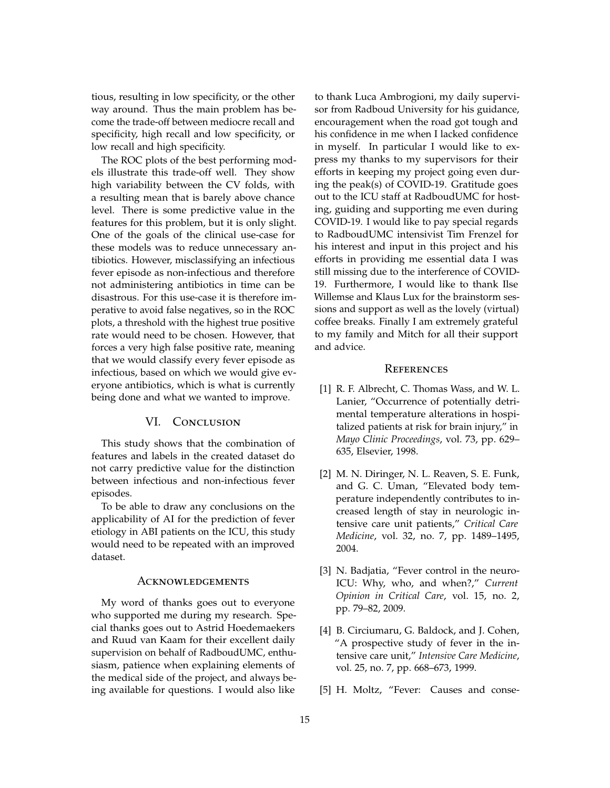tious, resulting in low specificity, or the other way around. Thus the main problem has become the trade-off between mediocre recall and specificity, high recall and low specificity, or low recall and high specificity.

The ROC plots of the best performing models illustrate this trade-off well. They show high variability between the CV folds, with a resulting mean that is barely above chance level. There is some predictive value in the features for this problem, but it is only slight. One of the goals of the clinical use-case for these models was to reduce unnecessary antibiotics. However, misclassifying an infectious fever episode as non-infectious and therefore not administering antibiotics in time can be disastrous. For this use-case it is therefore imperative to avoid false negatives, so in the ROC plots, a threshold with the highest true positive rate would need to be chosen. However, that forces a very high false positive rate, meaning that we would classify every fever episode as infectious, based on which we would give everyone antibiotics, which is what is currently being done and what we wanted to improve.

# VI. CONCLUSION

This study shows that the combination of features and labels in the created dataset do not carry predictive value for the distinction between infectious and non-infectious fever episodes.

To be able to draw any conclusions on the applicability of AI for the prediction of fever etiology in ABI patients on the ICU, this study would need to be repeated with an improved dataset.

#### **ACKNOWLEDGEMENTS**

My word of thanks goes out to everyone who supported me during my research. Special thanks goes out to Astrid Hoedemaekers and Ruud van Kaam for their excellent daily supervision on behalf of RadboudUMC, enthusiasm, patience when explaining elements of the medical side of the project, and always being available for questions. I would also like to thank Luca Ambrogioni, my daily supervisor from Radboud University for his guidance, encouragement when the road got tough and his confidence in me when I lacked confidence in myself. In particular I would like to express my thanks to my supervisors for their efforts in keeping my project going even during the peak(s) of COVID-19. Gratitude goes out to the ICU staff at RadboudUMC for hosting, guiding and supporting me even during COVID-19. I would like to pay special regards to RadboudUMC intensivist Tim Frenzel for his interest and input in this project and his efforts in providing me essential data I was still missing due to the interference of COVID-19. Furthermore, I would like to thank Ilse Willemse and Klaus Lux for the brainstorm sessions and support as well as the lovely (virtual) coffee breaks. Finally I am extremely grateful to my family and Mitch for all their support and advice.

#### **REFERENCES**

- <span id="page-14-0"></span>[1] R. F. Albrecht, C. Thomas Wass, and W. L. Lanier, "Occurrence of potentially detrimental temperature alterations in hospitalized patients at risk for brain injury," in *Mayo Clinic Proceedings*, vol. 73, pp. 629– 635, Elsevier, 1998.
- <span id="page-14-4"></span>[2] M. N. Diringer, N. L. Reaven, S. E. Funk, and G. C. Uman, "Elevated body temperature independently contributes to increased length of stay in neurologic intensive care unit patients," *Critical Care Medicine*, vol. 32, no. 7, pp. 1489–1495, 2004.
- <span id="page-14-1"></span>[3] N. Badjatia, "Fever control in the neuro-ICU: Why, who, and when?," *Current Opinion in Critical Care*, vol. 15, no. 2, pp. 79–82, 2009.
- <span id="page-14-2"></span>[4] B. Circiumaru, G. Baldock, and J. Cohen, "A prospective study of fever in the intensive care unit," *Intensive Care Medicine*, vol. 25, no. 7, pp. 668–673, 1999.
- <span id="page-14-3"></span>[5] H. Moltz, "Fever: Causes and conse-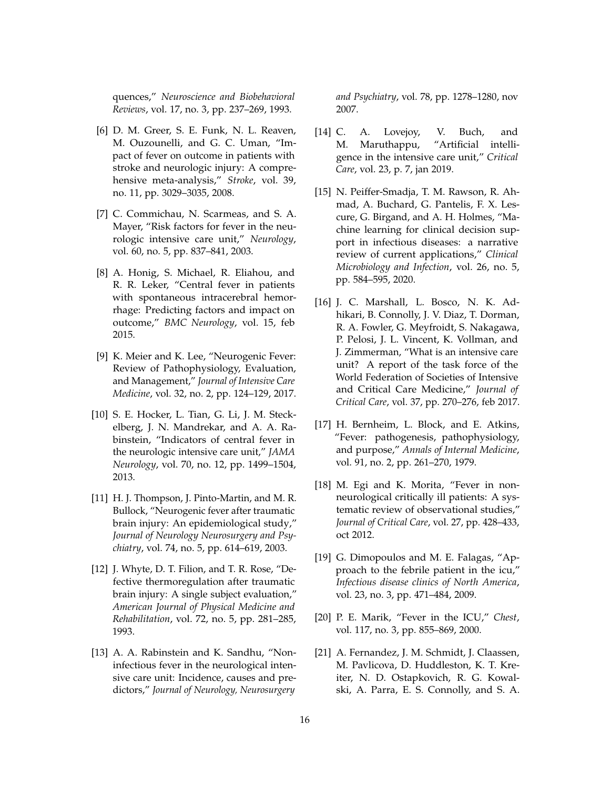quences," *Neuroscience and Biobehavioral Reviews*, vol. 17, no. 3, pp. 237–269, 1993.

- <span id="page-15-0"></span>[6] D. M. Greer, S. E. Funk, N. L. Reaven, M. Ouzounelli, and G. C. Uman, "Impact of fever on outcome in patients with stroke and neurologic injury: A comprehensive meta-analysis," *Stroke*, vol. 39, no. 11, pp. 3029–3035, 2008.
- <span id="page-15-2"></span>[7] C. Commichau, N. Scarmeas, and S. A. Mayer, "Risk factors for fever in the neurologic intensive care unit," *Neurology*, vol. 60, no. 5, pp. 837–841, 2003.
- <span id="page-15-1"></span>[8] A. Honig, S. Michael, R. Eliahou, and R. R. Leker, "Central fever in patients with spontaneous intracerebral hemorrhage: Predicting factors and impact on outcome," *BMC Neurology*, vol. 15, feb 2015.
- <span id="page-15-3"></span>[9] K. Meier and K. Lee, "Neurogenic Fever: Review of Pathophysiology, Evaluation, and Management," *Journal of Intensive Care Medicine*, vol. 32, no. 2, pp. 124–129, 2017.
- <span id="page-15-4"></span>[10] S. E. Hocker, L. Tian, G. Li, J. M. Steckelberg, J. N. Mandrekar, and A. A. Rabinstein, "Indicators of central fever in the neurologic intensive care unit," *JAMA Neurology*, vol. 70, no. 12, pp. 1499–1504, 2013.
- <span id="page-15-6"></span>[11] H. J. Thompson, J. Pinto-Martin, and M. R. Bullock, "Neurogenic fever after traumatic brain injury: An epidemiological study," *Journal of Neurology Neurosurgery and Psychiatry*, vol. 74, no. 5, pp. 614–619, 2003.
- <span id="page-15-5"></span>[12] J. Whyte, D. T. Filion, and T. R. Rose, "Defective thermoregulation after traumatic brain injury: A single subject evaluation," *American Journal of Physical Medicine and Rehabilitation*, vol. 72, no. 5, pp. 281–285, 1993.
- <span id="page-15-7"></span>[13] A. A. Rabinstein and K. Sandhu, "Noninfectious fever in the neurological intensive care unit: Incidence, causes and predictors," *Journal of Neurology, Neurosurgery*

*and Psychiatry*, vol. 78, pp. 1278–1280, nov 2007.

- <span id="page-15-8"></span>[14] C. A. Lovejoy, V. Buch, and M. Maruthappu, "Artificial intelligence in the intensive care unit," *Critical Care*, vol. 23, p. 7, jan 2019.
- <span id="page-15-9"></span>[15] N. Peiffer-Smadja, T. M. Rawson, R. Ahmad, A. Buchard, G. Pantelis, F. X. Lescure, G. Birgand, and A. H. Holmes, "Machine learning for clinical decision support in infectious diseases: a narrative review of current applications," *Clinical Microbiology and Infection*, vol. 26, no. 5, pp. 584–595, 2020.
- <span id="page-15-10"></span>[16] J. C. Marshall, L. Bosco, N. K. Adhikari, B. Connolly, J. V. Diaz, T. Dorman, R. A. Fowler, G. Meyfroidt, S. Nakagawa, P. Pelosi, J. L. Vincent, K. Vollman, and J. Zimmerman, "What is an intensive care unit? A report of the task force of the World Federation of Societies of Intensive and Critical Care Medicine," *Journal of Critical Care*, vol. 37, pp. 270–276, feb 2017.
- <span id="page-15-11"></span>[17] H. Bernheim, L. Block, and E. Atkins, "Fever: pathogenesis, pathophysiology, and purpose," *Annals of Internal Medicine*, vol. 91, no. 2, pp. 261–270, 1979.
- <span id="page-15-12"></span>[18] M. Egi and K. Morita, "Fever in nonneurological critically ill patients: A systematic review of observational studies," *Journal of Critical Care*, vol. 27, pp. 428–433, oct 2012.
- <span id="page-15-13"></span>[19] G. Dimopoulos and M. E. Falagas, "Approach to the febrile patient in the icu," *Infectious disease clinics of North America*, vol. 23, no. 3, pp. 471–484, 2009.
- <span id="page-15-14"></span>[20] P. E. Marik, "Fever in the ICU," *Chest*, vol. 117, no. 3, pp. 855–869, 2000.
- <span id="page-15-15"></span>[21] A. Fernandez, J. M. Schmidt, J. Claassen, M. Pavlicova, D. Huddleston, K. T. Kreiter, N. D. Ostapkovich, R. G. Kowalski, A. Parra, E. S. Connolly, and S. A.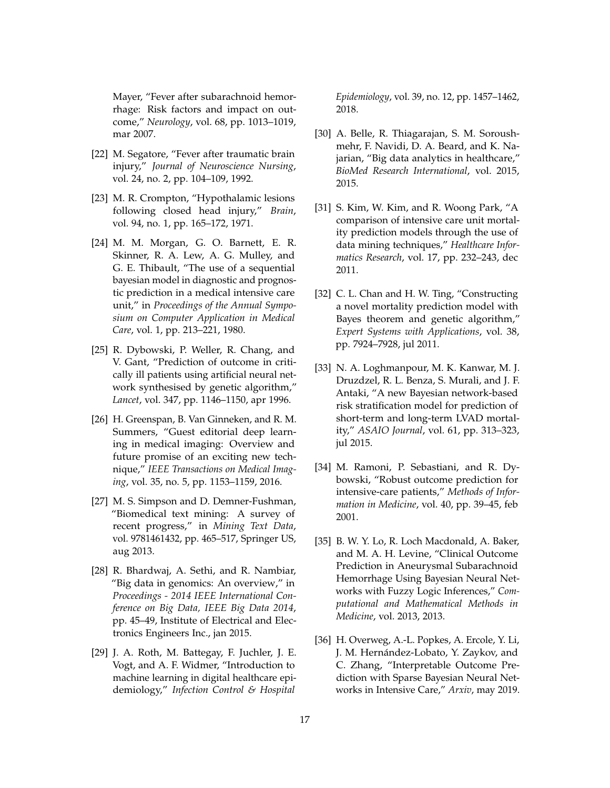Mayer, "Fever after subarachnoid hemorrhage: Risk factors and impact on outcome," *Neurology*, vol. 68, pp. 1013–1019, mar 2007.

- <span id="page-16-0"></span>[22] M. Segatore, "Fever after traumatic brain injury," *Journal of Neuroscience Nursing*, vol. 24, no. 2, pp. 104–109, 1992.
- <span id="page-16-1"></span>[23] M. R. Crompton, "Hypothalamic lesions following closed head injury," *Brain*, vol. 94, no. 1, pp. 165–172, 1971.
- <span id="page-16-2"></span>[24] M. M. Morgan, G. O. Barnett, E. R. Skinner, R. A. Lew, A. G. Mulley, and G. E. Thibault, "The use of a sequential bayesian model in diagnostic and prognostic prediction in a medical intensive care unit," in *Proceedings of the Annual Symposium on Computer Application in Medical Care*, vol. 1, pp. 213–221, 1980.
- <span id="page-16-3"></span>[25] R. Dybowski, P. Weller, R. Chang, and V. Gant, "Prediction of outcome in critically ill patients using artificial neural network synthesised by genetic algorithm," *Lancet*, vol. 347, pp. 1146–1150, apr 1996.
- <span id="page-16-4"></span>[26] H. Greenspan, B. Van Ginneken, and R. M. Summers, "Guest editorial deep learning in medical imaging: Overview and future promise of an exciting new technique," *IEEE Transactions on Medical Imaging*, vol. 35, no. 5, pp. 1153–1159, 2016.
- [27] M. S. Simpson and D. Demner-Fushman, "Biomedical text mining: A survey of recent progress," in *Mining Text Data*, vol. 9781461432, pp. 465–517, Springer US, aug 2013.
- <span id="page-16-5"></span>[28] R. Bhardwaj, A. Sethi, and R. Nambiar, "Big data in genomics: An overview," in *Proceedings - 2014 IEEE International Conference on Big Data, IEEE Big Data 2014*, pp. 45–49, Institute of Electrical and Electronics Engineers Inc., jan 2015.
- <span id="page-16-6"></span>[29] J. A. Roth, M. Battegay, F. Juchler, J. E. Vogt, and A. F. Widmer, "Introduction to machine learning in digital healthcare epidemiology," *Infection Control & Hospital*

*Epidemiology*, vol. 39, no. 12, pp. 1457–1462, 2018.

- <span id="page-16-7"></span>[30] A. Belle, R. Thiagarajan, S. M. Soroushmehr, F. Navidi, D. A. Beard, and K. Najarian, "Big data analytics in healthcare," *BioMed Research International*, vol. 2015, 2015.
- <span id="page-16-8"></span>[31] S. Kim, W. Kim, and R. Woong Park, "A comparison of intensive care unit mortality prediction models through the use of data mining techniques," *Healthcare Informatics Research*, vol. 17, pp. 232–243, dec 2011.
- [32] C. L. Chan and H. W. Ting, "Constructing a novel mortality prediction model with Bayes theorem and genetic algorithm," *Expert Systems with Applications*, vol. 38, pp. 7924–7928, jul 2011.
- <span id="page-16-9"></span>[33] N. A. Loghmanpour, M. K. Kanwar, M. J. Druzdzel, R. L. Benza, S. Murali, and J. F. Antaki, "A new Bayesian network-based risk stratification model for prediction of short-term and long-term LVAD mortality," *ASAIO Journal*, vol. 61, pp. 313–323, jul 2015.
- <span id="page-16-10"></span>[34] M. Ramoni, P. Sebastiani, and R. Dybowski, "Robust outcome prediction for intensive-care patients," *Methods of Information in Medicine*, vol. 40, pp. 39–45, feb 2001.
- <span id="page-16-12"></span>[35] B. W. Y. Lo, R. Loch Macdonald, A. Baker, and M. A. H. Levine, "Clinical Outcome Prediction in Aneurysmal Subarachnoid Hemorrhage Using Bayesian Neural Networks with Fuzzy Logic Inferences," *Computational and Mathematical Methods in Medicine*, vol. 2013, 2013.
- <span id="page-16-11"></span>[36] H. Overweg, A.-L. Popkes, A. Ercole, Y. Li, J. M. Hernández-Lobato, Y. Zaykov, and C. Zhang, "Interpretable Outcome Prediction with Sparse Bayesian Neural Networks in Intensive Care," *Arxiv*, may 2019.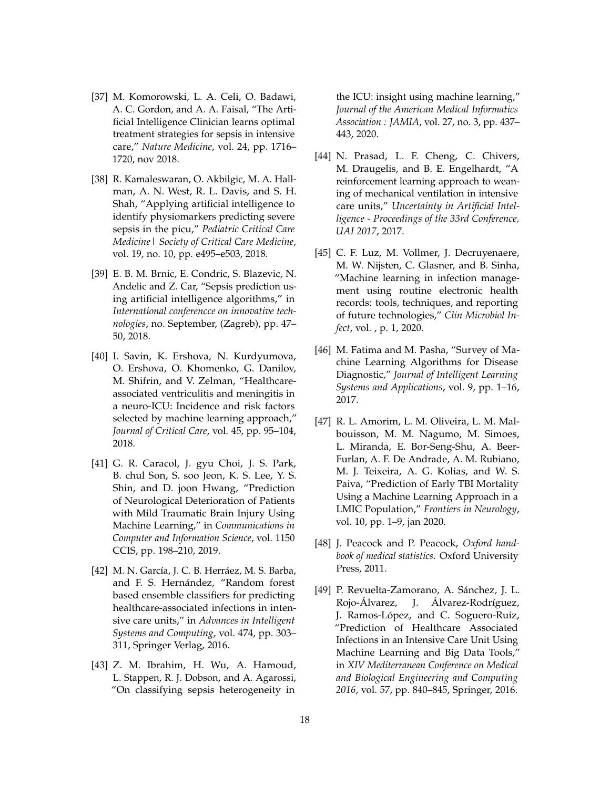- <span id="page-17-0"></span>[37] M. Komorowski, L. A. Celi, O. Badawi, A. C. Gordon, and A. A. Faisal, "The Artificial Intelligence Clinician learns optimal treatment strategies for sepsis in intensive care," *Nature Medicine*, vol. 24, pp. 1716– 1720, nov 2018.
- <span id="page-17-12"></span>[38] R. Kamaleswaran, O. Akbilgic, M. A. Hallman, A. N. West, R. L. Davis, and S. H. Shah, "Applying artificial intelligence to identify physiomarkers predicting severe sepsis in the picu," *Pediatric Critical Care Medicine| Society of Critical Care Medicine*, vol. 19, no. 10, pp. e495–e503, 2018.
- <span id="page-17-1"></span>[39] E. B. M. Brnic, E. Condric, S. Blazevic, N. Andelic and Z. Car, "Sepsis prediction using artificial intelligence algorithms," in *International conferencce on innovative technologies*, no. September, (Zagreb), pp. 47– 50, 2018.
- <span id="page-17-2"></span>[40] I. Savin, K. Ershova, N. Kurdyumova, O. Ershova, O. Khomenko, G. Danilov, M. Shifrin, and V. Zelman, "Healthcareassociated ventriculitis and meningitis in a neuro-ICU: Incidence and risk factors selected by machine learning approach," *Journal of Critical Care*, vol. 45, pp. 95–104, 2018.
- <span id="page-17-3"></span>[41] G. R. Caracol, J. gyu Choi, J. S. Park, B. chul Son, S. soo Jeon, K. S. Lee, Y. S. Shin, and D. joon Hwang, "Prediction of Neurological Deterioration of Patients with Mild Traumatic Brain Injury Using Machine Learning," in *Communications in Computer and Information Science*, vol. 1150 CCIS, pp. 198–210, 2019.
- <span id="page-17-4"></span>[42] M. N. García, J. C. B. Herráez, M. S. Barba, and F. S. Hernández, "Random forest based ensemble classifiers for predicting healthcare-associated infections in intensive care units," in *Advances in Intelligent Systems and Computing*, vol. 474, pp. 303– 311, Springer Verlag, 2016.
- <span id="page-17-5"></span>[43] Z. M. Ibrahim, H. Wu, A. Hamoud, L. Stappen, R. J. Dobson, and A. Agarossi, "On classifying sepsis heterogeneity in

the ICU: insight using machine learning," *Journal of the American Medical Informatics Association : JAMIA*, vol. 27, no. 3, pp. 437– 443, 2020.

- <span id="page-17-6"></span>[44] N. Prasad, L. F. Cheng, C. Chivers, M. Draugelis, and B. E. Engelhardt, "A reinforcement learning approach to weaning of mechanical ventilation in intensive care units," *Uncertainty in Artificial Intelligence - Proceedings of the 33rd Conference, UAI 2017*, 2017.
- <span id="page-17-7"></span>[45] C. F. Luz, M. Vollmer, J. Decruyenaere, M. W. Nijsten, C. Glasner, and B. Sinha, "Machine learning in infection management using routine electronic health records: tools, techniques, and reporting of future technologies," *Clin Microbiol Infect*, vol. , p. 1, 2020.
- <span id="page-17-8"></span>[46] M. Fatima and M. Pasha, "Survey of Machine Learning Algorithms for Disease Diagnostic," *Journal of Intelligent Learning Systems and Applications*, vol. 9, pp. 1–16, 2017.
- <span id="page-17-9"></span>[47] R. L. Amorim, L. M. Oliveira, L. M. Malbouisson, M. M. Nagumo, M. Simoes, L. Miranda, E. Bor-Seng-Shu, A. Beer-Furlan, A. F. De Andrade, A. M. Rubiano, M. J. Teixeira, A. G. Kolias, and W. S. Paiva, "Prediction of Early TBI Mortality Using a Machine Learning Approach in a LMIC Population," *Frontiers in Neurology*, vol. 10, pp. 1–9, jan 2020.
- <span id="page-17-10"></span>[48] J. Peacock and P. Peacock, *Oxford handbook of medical statistics*. Oxford University Press, 2011.
- <span id="page-17-11"></span>[49] P. Revuelta-Zamorano, A. Sánchez, J. L. Rojo-Álvarez, J. Álvarez-Rodríguez, J. Ramos-López, and C. Soguero-Ruiz, "Prediction of Healthcare Associated Infections in an Intensive Care Unit Using Machine Learning and Big Data Tools," in *XIV Mediterranean Conference on Medical and Biological Engineering and Computing 2016*, vol. 57, pp. 840–845, Springer, 2016.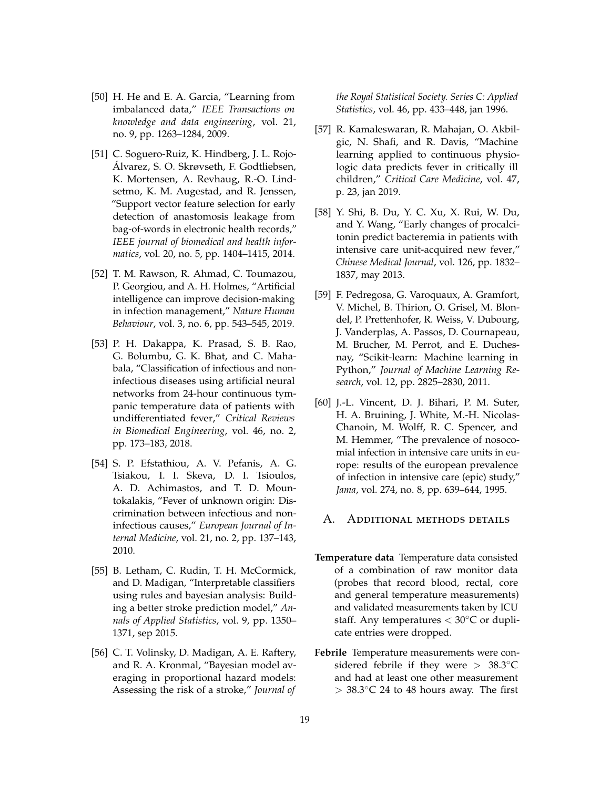- <span id="page-18-1"></span>[50] H. He and E. A. Garcia, "Learning from imbalanced data," *IEEE Transactions on knowledge and data engineering*, vol. 21, no. 9, pp. 1263–1284, 2009.
- <span id="page-18-2"></span>[51] C. Soguero-Ruiz, K. Hindberg, J. L. Rojo-Álvarez, S. O. Skrøvseth, F. Godtliebsen, K. Mortensen, A. Revhaug, R.-O. Lindsetmo, K. M. Augestad, and R. Jenssen, "Support vector feature selection for early detection of anastomosis leakage from bag-of-words in electronic health records," *IEEE journal of biomedical and health informatics*, vol. 20, no. 5, pp. 1404–1415, 2014.
- <span id="page-18-3"></span>[52] T. M. Rawson, R. Ahmad, C. Toumazou, P. Georgiou, and A. H. Holmes, "Artificial intelligence can improve decision-making in infection management," *Nature Human Behaviour*, vol. 3, no. 6, pp. 543–545, 2019.
- <span id="page-18-4"></span>[53] P. H. Dakappa, K. Prasad, S. B. Rao, G. Bolumbu, G. K. Bhat, and C. Mahabala, "Classification of infectious and noninfectious diseases using artificial neural networks from 24-hour continuous tympanic temperature data of patients with undifferentiated fever," *Critical Reviews in Biomedical Engineering*, vol. 46, no. 2, pp. 173–183, 2018.
- <span id="page-18-5"></span>[54] S. P. Efstathiou, A. V. Pefanis, A. G. Tsiakou, I. I. Skeva, D. I. Tsioulos, A. D. Achimastos, and T. D. Mountokalakis, "Fever of unknown origin: Discrimination between infectious and noninfectious causes," *European Journal of Internal Medicine*, vol. 21, no. 2, pp. 137–143, 2010.
- <span id="page-18-6"></span>[55] B. Letham, C. Rudin, T. H. McCormick, and D. Madigan, "Interpretable classifiers using rules and bayesian analysis: Building a better stroke prediction model," *Annals of Applied Statistics*, vol. 9, pp. 1350– 1371, sep 2015.
- <span id="page-18-7"></span>[56] C. T. Volinsky, D. Madigan, A. E. Raftery, and R. A. Kronmal, "Bayesian model averaging in proportional hazard models: Assessing the risk of a stroke," *Journal of*

*the Royal Statistical Society. Series C: Applied Statistics*, vol. 46, pp. 433–448, jan 1996.

- <span id="page-18-8"></span>[57] R. Kamaleswaran, R. Mahajan, O. Akbilgic, N. Shafi, and R. Davis, "Machine learning applied to continuous physiologic data predicts fever in critically ill children," *Critical Care Medicine*, vol. 47, p. 23, jan 2019.
- <span id="page-18-9"></span>[58] Y. Shi, B. Du, Y. C. Xu, X. Rui, W. Du, and Y. Wang, "Early changes of procalcitonin predict bacteremia in patients with intensive care unit-acquired new fever," *Chinese Medical Journal*, vol. 126, pp. 1832– 1837, may 2013.
- <span id="page-18-10"></span>[59] F. Pedregosa, G. Varoquaux, A. Gramfort, V. Michel, B. Thirion, O. Grisel, M. Blondel, P. Prettenhofer, R. Weiss, V. Dubourg, J. Vanderplas, A. Passos, D. Cournapeau, M. Brucher, M. Perrot, and E. Duchesnay, "Scikit-learn: Machine learning in Python," *Journal of Machine Learning Research*, vol. 12, pp. 2825–2830, 2011.
- <span id="page-18-11"></span>[60] J.-L. Vincent, D. J. Bihari, P. M. Suter, H. A. Bruining, J. White, M.-H. Nicolas-Chanoin, M. Wolff, R. C. Spencer, and M. Hemmer, "The prevalence of nosocomial infection in intensive care units in europe: results of the european prevalence of infection in intensive care (epic) study," *Jama*, vol. 274, no. 8, pp. 639–644, 1995.

## <span id="page-18-0"></span>A. Additional methods details

- **Temperature data** Temperature data consisted of a combination of raw monitor data (probes that record blood, rectal, core and general temperature measurements) and validated measurements taken by ICU staff. Any temperatures  $< 30^{\circ}$ C or duplicate entries were dropped.
- **Febrile** Temperature measurements were considered febrile if they were >  $38.3^{\circ}$ C and had at least one other measurement  $>$  38.3 $\degree$ C 24 to 48 hours away. The first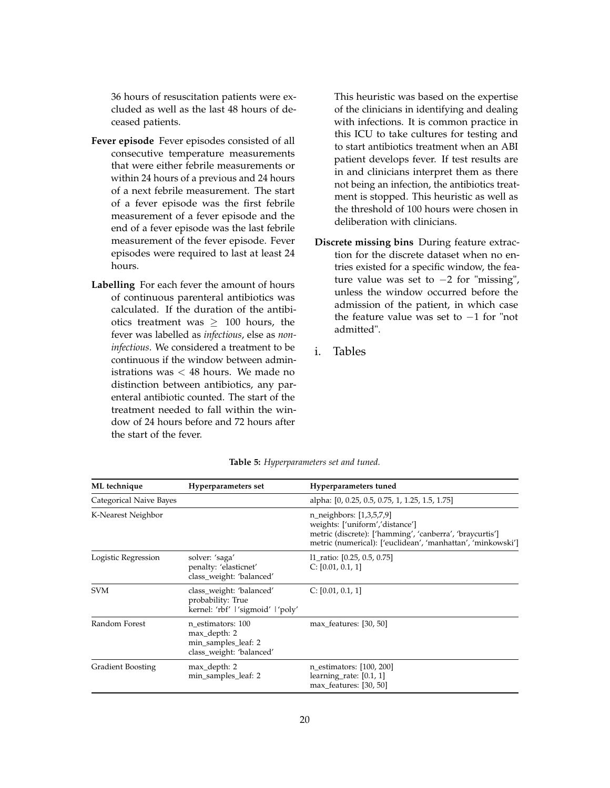36 hours of resuscitation patients were excluded as well as the last 48 hours of deceased patients.

- **Fever episode** Fever episodes consisted of all consecutive temperature measurements that were either febrile measurements or within 24 hours of a previous and 24 hours of a next febrile measurement. The start of a fever episode was the first febrile measurement of a fever episode and the end of a fever episode was the last febrile measurement of the fever episode. Fever episodes were required to last at least 24 hours.
- **Labelling** For each fever the amount of hours of continuous parenteral antibiotics was calculated. If the duration of the antibiotics treatment was  $\geq 100$  hours, the fever was labelled as *infectious*, else as *noninfectious*. We considered a treatment to be continuous if the window between administrations was < 48 hours. We made no distinction between antibiotics, any parenteral antibiotic counted. The start of the treatment needed to fall within the window of 24 hours before and 72 hours after the start of the fever.

This heuristic was based on the expertise of the clinicians in identifying and dealing with infections. It is common practice in this ICU to take cultures for testing and to start antibiotics treatment when an ABI patient develops fever. If test results are in and clinicians interpret them as there not being an infection, the antibiotics treatment is stopped. This heuristic as well as the threshold of 100 hours were chosen in deliberation with clinicians.

- **Discrete missing bins** During feature extraction for the discrete dataset when no entries existed for a specific window, the feature value was set to −2 for "missing", unless the window occurred before the admission of the patient, in which case the feature value was set to −1 for "not admitted".
- i. Tables

<span id="page-19-0"></span>

| ML technique             | Hyperparameters set                                                                  | Hyperparameters tuned                                                                                                                                                                  |
|--------------------------|--------------------------------------------------------------------------------------|----------------------------------------------------------------------------------------------------------------------------------------------------------------------------------------|
| Categorical Naive Bayes  |                                                                                      | alpha: [0, 0.25, 0.5, 0.75, 1, 1.25, 1.5, 1.75]                                                                                                                                        |
| K-Nearest Neighbor       |                                                                                      | n_neighbors: [1,3,5,7,9]<br>weights: ['uniform','distance']<br>metric (discrete): ['hamming', 'canberra', 'braycurtis']<br>metric (numerical): ['euclidean', 'manhattan', 'minkowski'] |
| Logistic Regression      | solver: 'saga'<br>penalty: 'elasticnet'<br>class_weight: 'balanced'                  | 11_ratio: $[0.25, 0.5, 0.75]$<br>C: [0.01, 0.1, 1]                                                                                                                                     |
| <b>SVM</b>               | class_weight: 'balanced'<br>probability: True<br>kernel: 'rbf'   'sigmoid'   'poly'  | C: [0.01, 0.1, 1]                                                                                                                                                                      |
| Random Forest            | n estimators: 100<br>max_depth: 2<br>min_samples_leaf: 2<br>class_weight: 'balanced' | max_features: [30, 50]                                                                                                                                                                 |
| <b>Gradient Boosting</b> | max_depth: 2<br>min_samples_leaf: 2                                                  | n_estimators: [100, 200]<br>learning rate: $[0.1, 1]$<br>max_features: [30, 50]                                                                                                        |

**Table 5:** *Hyperparameters set and tuned.*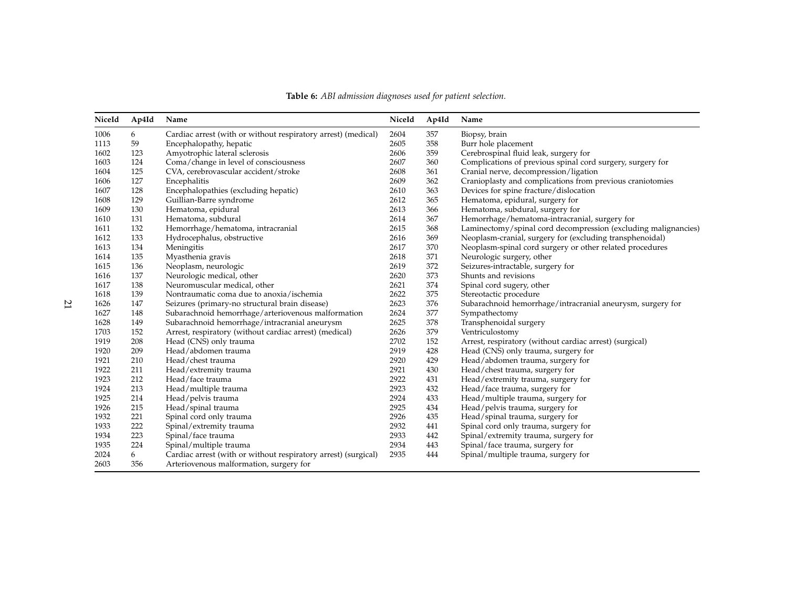<span id="page-20-0"></span>

| NiceId | Ap4Id | Name                                                           | NiceId | Ap4Id | Name                                                           |
|--------|-------|----------------------------------------------------------------|--------|-------|----------------------------------------------------------------|
| 1006   | 6     | Cardiac arrest (with or without respiratory arrest) (medical)  | 2604   | 357   | Biopsy, brain                                                  |
| 1113   | 59    | Encephalopathy, hepatic                                        | 2605   | 358   | Burr hole placement                                            |
| 1602   | 123   | Amyotrophic lateral sclerosis                                  | 2606   | 359   | Cerebrospinal fluid leak, surgery for                          |
| 1603   | 124   | Coma/change in level of consciousness                          | 2607   | 360   | Complications of previous spinal cord surgery, surgery for     |
| 1604   | 125   | CVA, cerebrovascular accident/stroke                           | 2608   | 361   | Cranial nerve, decompression/ligation                          |
| 1606   | 127   | Encephalitis                                                   | 2609   | 362   | Cranioplasty and complications from previous craniotomies      |
| 1607   | 128   | Encephalopathies (excluding hepatic)                           | 2610   | 363   | Devices for spine fracture/dislocation                         |
| 1608   | 129   | Guillian-Barre syndrome                                        | 2612   | 365   | Hematoma, epidural, surgery for                                |
| 1609   | 130   | Hematoma, epidural                                             | 2613   | 366   | Hematoma, subdural, surgery for                                |
| 1610   | 131   | Hematoma, subdural                                             | 2614   | 367   | Hemorrhage/hematoma-intracranial, surgery for                  |
| 1611   | 132   | Hemorrhage/hematoma, intracranial                              | 2615   | 368   | Laminectomy/spinal cord decompression (excluding malignancies) |
| 1612   | 133   | Hydrocephalus, obstructive                                     | 2616   | 369   | Neoplasm-cranial, surgery for (excluding transphenoidal)       |
| 1613   | 134   | Meningitis                                                     | 2617   | 370   | Neoplasm-spinal cord surgery or other related procedures       |
| 1614   | 135   | Myasthenia gravis                                              | 2618   | 371   | Neurologic surgery, other                                      |
| 1615   | 136   | Neoplasm, neurologic                                           | 2619   | 372   | Seizures-intractable, surgery for                              |
| 1616   | 137   | Neurologic medical, other                                      | 2620   | 373   | Shunts and revisions                                           |
| 1617   | 138   | Neuromuscular medical, other                                   | 2621   | 374   | Spinal cord sugery, other                                      |
| 1618   | 139   | Nontraumatic coma due to anoxia/ischemia                       | 2622   | 375   | Stereotactic procedure                                         |
| 1626   | 147   | Seizures (primary-no structural brain disease)                 | 2623   | 376   | Subarachnoid hemorrhage/intracranial aneurysm, surgery for     |
| 1627   | 148   | Subarachnoid hemorrhage/arteriovenous malformation             | 2624   | 377   | Sympathectomy                                                  |
| 1628   | 149   | Subarachnoid hemorrhage/intracranial aneurysm                  | 2625   | 378   | Transphenoidal surgery                                         |
| 1703   | 152   | Arrest, respiratory (without cardiac arrest) (medical)         | 2626   | 379   | Ventriculostomy                                                |
| 1919   | 208   | Head (CNS) only trauma                                         | 2702   | 152   | Arrest, respiratory (without cardiac arrest) (surgical)        |
| 1920   | 209   | Head/abdomen trauma                                            | 2919   | 428   | Head (CNS) only trauma, surgery for                            |
| 1921   | 210   | Head/chest trauma                                              | 2920   | 429   | Head/abdomen trauma, surgery for                               |
| 1922   | 211   | Head/extremity trauma                                          | 2921   | 430   | Head/chest trauma, surgery for                                 |
| 1923   | 212   | Head/face trauma                                               | 2922   | 431   | Head/extremity trauma, surgery for                             |
| 1924   | 213   | Head/multiple trauma                                           | 2923   | 432   | Head/face trauma, surgery for                                  |
| 1925   | 214   | Head/pelvis trauma                                             | 2924   | 433   | Head/multiple trauma, surgery for                              |
| 1926   | 215   | Head/spinal trauma                                             | 2925   | 434   | Head/pelvis trauma, surgery for                                |
| 1932   | 221   | Spinal cord only trauma                                        | 2926   | 435   | Head/spinal trauma, surgery for                                |
| 1933   | 222   | Spinal/extremity trauma                                        | 2932   | 441   | Spinal cord only trauma, surgery for                           |
| 1934   | 223   | Spinal/face trauma                                             | 2933   | 442   | Spinal/extremity trauma, surgery for                           |
| 1935   | 224   | Spinal/multiple trauma                                         | 2934   | 443   | Spinal/face trauma, surgery for                                |
| 2024   | 6     | Cardiac arrest (with or without respiratory arrest) (surgical) | 2935   | 444   | Spinal/multiple trauma, surgery for                            |
| 2603   | 356   | Arteriovenous malformation, surgery for                        |        |       |                                                                |

**Table 6:** *ABI admission diagnoses used for patient selection.*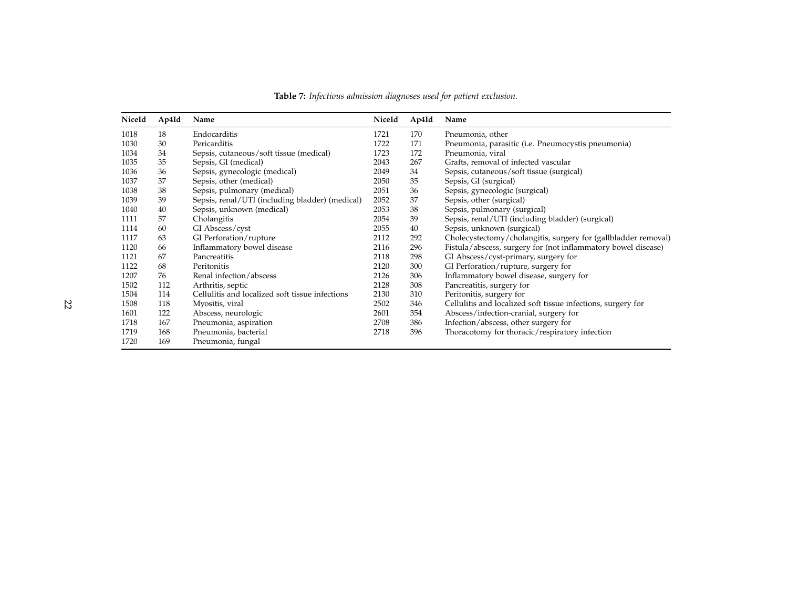<span id="page-21-0"></span>

| NiceId | Ap4Id | Name                                            | NiceId | Ap4Id | Name                                                           |
|--------|-------|-------------------------------------------------|--------|-------|----------------------------------------------------------------|
| 1018   | 18    | Endocarditis                                    | 1721   | 170   | Pneumonia, other                                               |
| 1030   | 30    | Pericarditis                                    | 1722   | 171   | Pneumonia, parasitic (i.e. Pneumocystis pneumonia)             |
| 1034   | 34    | Sepsis, cutaneous/soft tissue (medical)         | 1723   | 172   | Pneumonia, viral                                               |
| 1035   | 35    | Sepsis, GI (medical)                            | 2043   | 267   | Grafts, removal of infected vascular                           |
| 1036   | 36    | Sepsis, gynecologic (medical)                   | 2049   | 34    | Sepsis, cutaneous/soft tissue (surgical)                       |
| 1037   | 37    | Sepsis, other (medical)                         | 2050   | 35    | Sepsis, GI (surgical)                                          |
| 1038   | 38    | Sepsis, pulmonary (medical)                     | 2051   | 36    | Sepsis, gynecologic (surgical)                                 |
| 1039   | 39    | Sepsis, renal/UTI (including bladder) (medical) | 2052   | 37    | Sepsis, other (surgical)                                       |
| 1040   | 40    | Sepsis, unknown (medical)                       | 2053   | 38    | Sepsis, pulmonary (surgical)                                   |
| 1111   | 57    | Cholangitis                                     | 2054   | 39    | Sepsis, renal/UTI (including bladder) (surgical)               |
| 1114   | 60    | GI Abscess/cyst                                 | 2055   | 40    | Sepsis, unknown (surgical)                                     |
| 1117   | 63    | GI Perforation/rupture                          | 2112   | 292   | Cholecystectomy/cholangitis, surgery for (gallbladder removal) |
| 1120   | 66    | Inflammatory bowel disease                      | 2116   | 296   | Fistula/abscess, surgery for (not inflammatory bowel disease)  |
| 1121   | 67    | Pancreatitis                                    | 2118   | 298   | GI Abscess/cyst-primary, surgery for                           |
| 1122   | 68    | Peritonitis                                     | 2120   | 300   | GI Perforation/rupture, surgery for                            |
| 1207   | 76    | Renal infection/abscess                         | 2126   | 306   | Inflammatory bowel disease, surgery for                        |
| 1502   | 112   | Arthritis, septic                               | 2128   | 308   | Pancreatitis, surgery for                                      |
| 1504   | 114   | Cellulitis and localized soft tissue infections | 2130   | 310   | Peritonitis, surgery for                                       |
| 1508   | 118   | Myositis, viral                                 | 2502   | 346   | Cellulitis and localized soft tissue infections, surgery for   |
| 1601   | 122   | Abscess, neurologic                             | 2601   | 354   | Abscess/infection-cranial, surgery for                         |
| 1718   | 167   | Pneumonia, aspiration                           | 2708   | 386   | Infection/abscess, other surgery for                           |
| 1719   | 168   | Pneumonia, bacterial                            | 2718   | 396   | Thoracotomy for thoracic/respiratory infection                 |
| 1720   | 169   | Pneumonia, fungal                               |        |       |                                                                |

**Table 7:** *Infectious admission diagnoses used for patient exclusion.*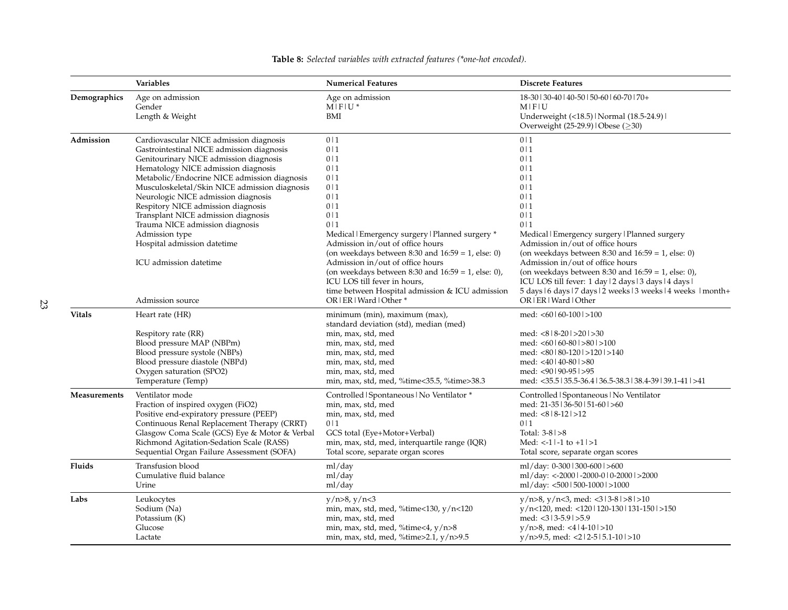<span id="page-22-0"></span>

|               | <b>Variables</b>                                                                                                                                                                                                                                                                                                                                                                                                                                                                                                             | <b>Numerical Features</b>                                                                                                                                                                                                                                                                                                                                                                                                                                                                                                                     | <b>Discrete Features</b>                                                                                                                                                                                                                                                                                                                                                                                                                                                                                                                                                        |
|---------------|------------------------------------------------------------------------------------------------------------------------------------------------------------------------------------------------------------------------------------------------------------------------------------------------------------------------------------------------------------------------------------------------------------------------------------------------------------------------------------------------------------------------------|-----------------------------------------------------------------------------------------------------------------------------------------------------------------------------------------------------------------------------------------------------------------------------------------------------------------------------------------------------------------------------------------------------------------------------------------------------------------------------------------------------------------------------------------------|---------------------------------------------------------------------------------------------------------------------------------------------------------------------------------------------------------------------------------------------------------------------------------------------------------------------------------------------------------------------------------------------------------------------------------------------------------------------------------------------------------------------------------------------------------------------------------|
| Demographics  | Age on admission<br>Gender<br>Length & Weight                                                                                                                                                                                                                                                                                                                                                                                                                                                                                | Age on admission<br>$M$   $F$   $U^*$<br>BMI                                                                                                                                                                                                                                                                                                                                                                                                                                                                                                  | 18-30   30-40   40-50   50-60   60-70   70+<br>$M$   $F$   $U$<br>Underweight (<18.5)   Normal (18.5-24.9)  <br>Overweight (25-29.9)   Obese (≥30)                                                                                                                                                                                                                                                                                                                                                                                                                              |
| Admission     | Cardiovascular NICE admission diagnosis<br>Gastrointestinal NICE admission diagnosis<br>Genitourinary NICE admission diagnosis<br>Hematology NICE admission diagnosis<br>Metabolic/Endocrine NICE admission diagnosis<br>Musculoskeletal/Skin NICE admission diagnosis<br>Neurologic NICE admission diagnosis<br>Respitory NICE admission diagnosis<br>Transplant NICE admission diagnosis<br>Trauma NICE admission diagnosis<br>Admission type<br>Hospital admission datetime<br>ICU admission datetime<br>Admission source | 0 <sub>1</sub><br>0 <sub>1</sub><br>0 <sub>1</sub><br>0 <sub>1</sub><br>0 <sub>1</sub><br>0 <sub>1</sub><br>0 <sub>1</sub><br>0 <sub>1</sub><br>0 <sub>1</sub><br>0 <sub>1</sub><br>Medical Emergency surgery   Planned surgery *<br>Admission in/out of office hours<br>(on weekdays between $8:30$ and $16:59 = 1$ , else: 0)<br>Admission in/out of office hours<br>(on weekdays between $8:30$ and $16:59 = 1$ , else: 0),<br>ICU LOS till fever in hours,<br>time between Hospital admission & ICU admission<br>OR   ER   Ward   Other * | 0 <sub>1</sub><br>0 <sub>1</sub><br>0 <sub>1</sub><br>0 <sub>1</sub><br>0 <sub>1</sub><br>0 <sub>1</sub><br>0 <sub>1</sub><br>0 <sub>1</sub><br>0 <sub>1</sub><br>0 <sub>1</sub><br>Medical Emergency surgery Planned surgery<br>Admission in/out of office hours<br>(on weekdays between $8:30$ and $16:59 = 1$ , else: 0)<br>Admission in/out of office hours<br>(on weekdays between 8:30 and $16:59 = 1$ , else: 0),<br>ICU LOS till fever: 1 day   2 days   3 days   4 days  <br>5 days   6 days   7 days   2 weeks   3 weeks   4 weeks   month+<br>OR   ER   Ward   Other |
| <b>Vitals</b> | Heart rate (HR)<br>Respitory rate (RR)<br>Blood pressure MAP (NBPm)<br>Blood pressure systole (NBPs)<br>Blood pressure diastole (NBPd)<br>Oxygen saturation (SPO2)<br>Temperature (Temp)                                                                                                                                                                                                                                                                                                                                     | minimum (min), maximum (max),<br>standard deviation (std), median (med)<br>min, max, std, med<br>min, max, std, med<br>min, max, std, med<br>min, max, std, med<br>min, max, std, med<br>min, max, std, med, %time<35.5, %time>38.3                                                                                                                                                                                                                                                                                                           | med: $< 60160 - 1001 > 100$<br>med: $<8$   8-20   > 20   > 30<br>med: $< 60160 - 801 > 801 > 100$<br>med: $<80$   80-120   >120   >140<br>med: $<$ 40   40-80   >80<br>med: <90   90-95   >95<br>med: <35.5   35.5-36.4   36.5-38.3   38.4-39   39.1-41   >41                                                                                                                                                                                                                                                                                                                   |
| Measurements  | Ventilator mode<br>Fraction of inspired oxygen (FiO2)<br>Positive end-expiratory pressure (PEEP)<br>Continuous Renal Replacement Therapy (CRRT)<br>Glasgow Coma Scale (GCS) Eye & Motor & Verbal<br>Richmond Agitation-Sedation Scale (RASS)<br>Sequential Organ Failure Assessment (SOFA)                                                                                                                                                                                                                                   | Controlled   Spontaneous   No Ventilator *<br>min, max, std, med<br>min, max, std, med<br>0 <sup>11</sup><br>GCS total (Eye+Motor+Verbal)<br>min, max, std, med, interquartile range (IQR)<br>Total score, separate organ scores                                                                                                                                                                                                                                                                                                              | Controlled   Spontaneous   No Ventilator<br>med: 21-35   36-50   51-60   >60<br>med: $<818-12$ > 12<br>0 <sub>1</sub><br>Total: $3-8$ $>8$<br>Med: $\lt-1$   -1 to $+1$  >1<br>Total score, separate organ scores                                                                                                                                                                                                                                                                                                                                                               |
| Fluids        | Transfusion blood<br>Cumulative fluid balance<br>Urine                                                                                                                                                                                                                                                                                                                                                                                                                                                                       | ml/day<br>ml/day<br>ml/day                                                                                                                                                                                                                                                                                                                                                                                                                                                                                                                    | ml/day: 0-300   300-600   >600<br>ml/day: <-2000   -2000-0   0-2000   >2000<br>ml/day: <500   500-1000   >1000                                                                                                                                                                                                                                                                                                                                                                                                                                                                  |
| Labs          | Leukocytes<br>Sodium (Na)<br>Potassium (K)<br>Glucose<br>Lactate                                                                                                                                                                                                                                                                                                                                                                                                                                                             | y/n > 8, y/n < 3<br>min, max, std, med, %time<130, y/n<120<br>min, max, std, med<br>min, max, std, med, %time<4, $y/n>8$<br>min, max, std, med, %time>2.1, y/n>9.5                                                                                                                                                                                                                                                                                                                                                                            | $y/n>8$ , $y/n<3$ , med: $<313-81>81>10$<br>$v/n<120$ , med: <120   120-130   131-150   >150<br>med: $<$ 3   3-5.9   > 5.9<br>$y/n > 8$ , med: <4   4-10   >10<br>$y/n > 9.5$ , med: <2   2-5   5.1-10   >10                                                                                                                                                                                                                                                                                                                                                                    |

**Table 8:** *Selected variables with extracted features (\*one-hot encoded).*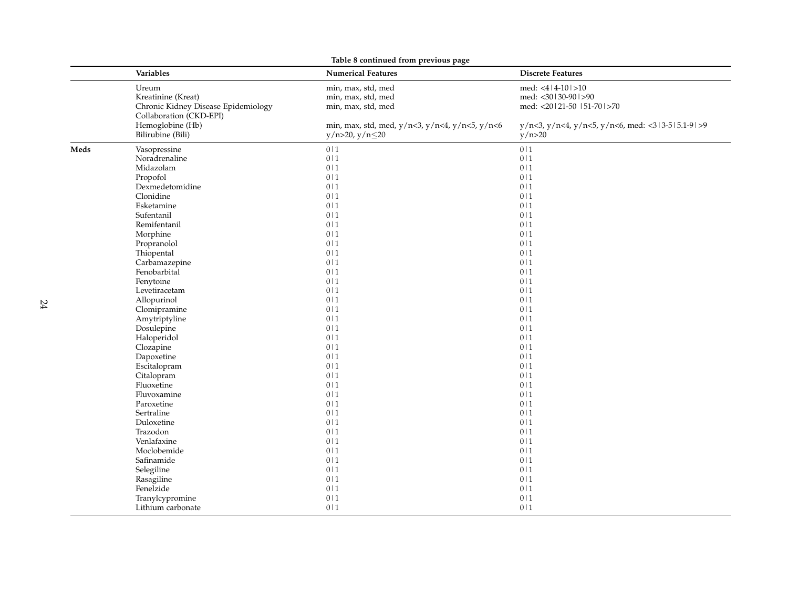|      | Table 8 continued from previous page |                                                |                                                  |  |  |  |  |  |  |
|------|--------------------------------------|------------------------------------------------|--------------------------------------------------|--|--|--|--|--|--|
|      | Variables                            | <b>Numerical Features</b>                      | <b>Discrete Features</b>                         |  |  |  |  |  |  |
|      | Ureum                                | min, max, std, med                             | med: $<4$   4-10   >10                           |  |  |  |  |  |  |
|      | Kreatinine (Kreat)                   | min, max, std, med                             | med: <30   30-90   >90                           |  |  |  |  |  |  |
|      | Chronic Kidney Disease Epidemiology  | min, max, std, med                             | med: <20121-50 151-701>70                        |  |  |  |  |  |  |
|      | Collaboration (CKD-EPI)              |                                                |                                                  |  |  |  |  |  |  |
|      | Hemoglobine (Hb)                     | min, max, std, med, y/n<3, y/n<4, y/n<5, y/n<6 | y/n<3, y/n<4, y/n<5, y/n<6, med: <313-515.1-91>9 |  |  |  |  |  |  |
|      | Bilirubine (Bili)                    | $y/n > 20$ , $y/n \le 20$                      | y/n>20                                           |  |  |  |  |  |  |
| Meds | Vasopressine                         | 0 <sup> 1</sup>                                | 0 <sub>1</sub>                                   |  |  |  |  |  |  |
|      | Noradrenaline                        | 0 1                                            | 0 1                                              |  |  |  |  |  |  |
|      | Midazolam                            | 0 1                                            | 0 1                                              |  |  |  |  |  |  |
|      | Propofol                             | 0 <sub>1</sub>                                 | 0 <sub>1</sub>                                   |  |  |  |  |  |  |
|      | Dexmedetomidine                      | 0 <sup> 1</sup>                                | 0 <sub>1</sub>                                   |  |  |  |  |  |  |
|      | Clonidine                            | 0 <sup> 1</sup>                                | 0 <sub>1</sub>                                   |  |  |  |  |  |  |
|      | Esketamine                           | 0 <sub>1</sub>                                 | 0 <sub>1</sub>                                   |  |  |  |  |  |  |
|      | Sufentanil                           | 0 <sub>1</sub>                                 | 0 <sub>1</sub>                                   |  |  |  |  |  |  |
|      | Remifentanil                         | 0 <sub>1</sub>                                 | 0 <sub>1</sub>                                   |  |  |  |  |  |  |
|      | Morphine                             | 0 <sub>1</sub>                                 | 0 <sub>1</sub>                                   |  |  |  |  |  |  |
|      | Propranolol                          | $0\mid 1$                                      | 0 <sub>1</sub>                                   |  |  |  |  |  |  |
|      | Thiopental                           | 0 1                                            | 0 <sub>1</sub>                                   |  |  |  |  |  |  |
|      | Carbamazepine                        | $0\mid 1$                                      | 0 <sub>1</sub>                                   |  |  |  |  |  |  |
|      | Fenobarbital                         | 0 1                                            | 0 1                                              |  |  |  |  |  |  |
|      | Fenytoine                            | $0\mid 1$                                      | 0 1                                              |  |  |  |  |  |  |
|      | Levetiracetam                        | 0 <sub>1</sub>                                 | 0 <sub>1</sub>                                   |  |  |  |  |  |  |
|      | Allopurinol                          | 0 <sub>1</sub>                                 | 0 <sub>1</sub>                                   |  |  |  |  |  |  |
|      | Clomipramine                         | 0 <sub>1</sub>                                 | 0 <sub>1</sub>                                   |  |  |  |  |  |  |
|      | Amytriptyline                        | 0 1                                            | 0 <sub>1</sub>                                   |  |  |  |  |  |  |
|      | Dosulepine                           | 0 <sub>1</sub>                                 | 0 <sub>1</sub>                                   |  |  |  |  |  |  |
|      | Haloperidol                          | 0 1                                            | 0 1                                              |  |  |  |  |  |  |
|      | Clozapine                            | 0 <sub>1</sub>                                 | 0 <sub>1</sub>                                   |  |  |  |  |  |  |
|      | Dapoxetine                           | 0 <sub>1</sub>                                 | 0 <sub>1</sub>                                   |  |  |  |  |  |  |
|      | Escitalopram                         | 0 <sub>1</sub>                                 | 0 <sub>1</sub>                                   |  |  |  |  |  |  |
|      | Citalopram                           | 0 <sub>1</sub>                                 | 0 <sub>1</sub>                                   |  |  |  |  |  |  |
|      | Fluoxetine                           | 0 <sub>1</sub>                                 | 0 <sub>1</sub>                                   |  |  |  |  |  |  |
|      | Fluvoxamine                          | 0 <sub>1</sub>                                 | 0 <sub>1</sub>                                   |  |  |  |  |  |  |
|      | Paroxetine                           | 0 <sub>1</sub>                                 | 0 <sub>1</sub>                                   |  |  |  |  |  |  |
|      | Sertraline                           | 0 <sub>1</sub>                                 | 0 <sub>1</sub>                                   |  |  |  |  |  |  |
|      | Duloxetine                           | 0 <sub>1</sub>                                 | 0 <sub>1</sub>                                   |  |  |  |  |  |  |
|      | Trazodon                             | 0 <sub>1</sub>                                 | 0 <sub>1</sub>                                   |  |  |  |  |  |  |
|      | Venlafaxine                          | 0 <sup> 1</sup>                                | 0 <sub>1</sub>                                   |  |  |  |  |  |  |
|      | Moclobemide                          | 0 1                                            | 0 <sub>1</sub>                                   |  |  |  |  |  |  |
|      | Safinamide                           | 0 <sup> 1</sup>                                | 0 <sub>1</sub>                                   |  |  |  |  |  |  |
|      | Selegiline                           | 0 <sub>1</sub>                                 | 0 <sub>1</sub>                                   |  |  |  |  |  |  |
|      | Rasagiline                           | 0 <sup> 1</sup>                                | 0 <sub>1</sub>                                   |  |  |  |  |  |  |
|      | Fenelzide                            | 0 <sub>1</sub>                                 | 0 <sub>1</sub>                                   |  |  |  |  |  |  |
|      | Tranylcypromine                      | 0 1                                            | 0 1                                              |  |  |  |  |  |  |
|      | Lithium carbonate                    | 0 <sup> 1</sup>                                | 0 <sub>1</sub>                                   |  |  |  |  |  |  |
|      |                                      |                                                |                                                  |  |  |  |  |  |  |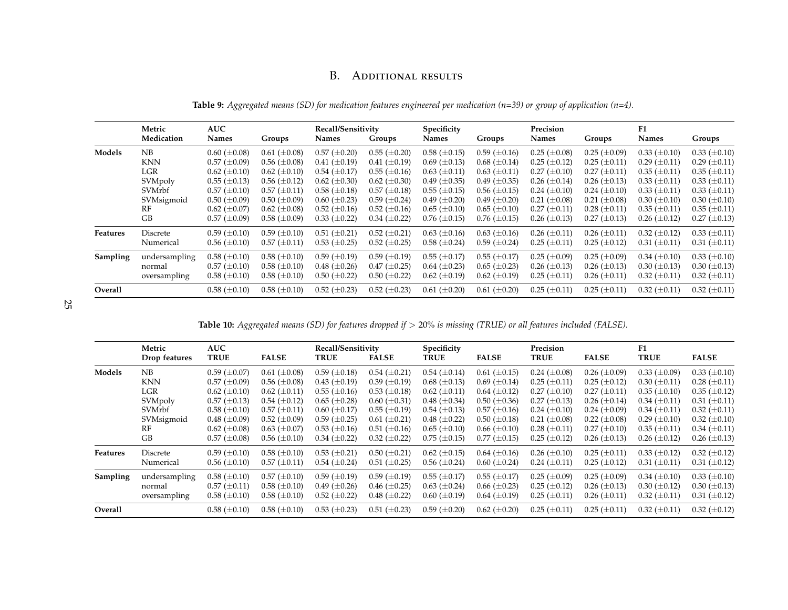# B. Additional results

| Metric<br>Medication | <b>AUC</b><br><b>Names</b> | Groups              | <b>Names</b>        | Groups              | Specificity<br>Names | Groups              | Precision<br>Names  | Groups                | F1<br><b>Names</b>    | Groups              |
|----------------------|----------------------------|---------------------|---------------------|---------------------|----------------------|---------------------|---------------------|-----------------------|-----------------------|---------------------|
| NB                   | $0.60~(\pm 0.08)$          | $0.61 (\pm 0.08)$   | $0.57 (\pm 0.20)$   | $0.55 \ (\pm 0.20)$ | $0.58 \ (\pm 0.15)$  | $0.59 \ (\pm 0.16)$ | $0.25 (\pm 0.08)$   | $0.25 (\pm 0.09)$     | $0.33 \ (\pm 0.10)$   | $0.33 \ (\pm 0.10)$ |
| <b>KNN</b>           | $0.57 \ (\pm 0.09)$        | $0.56 \ (\pm 0.08)$ | $0.41 (\pm 0.19)$   | $0.41 (\pm 0.19)$   | $0.69 \ (\pm 0.13)$  | $0.68 \ (\pm 0.14)$ | $0.25 (\pm 0.12)$   | $0.25 \ (\pm 0.11)$   | $0.29 \ (\pm 0.11)$   | $0.29 \ (\pm 0.11)$ |
| LGR                  | $0.62 \ (\pm 0.10)$        | $0.62 \ (\pm 0.10)$ | $0.54~(\pm 0.17)$   | $0.55 \ (\pm 0.16)$ | $0.63 \ (\pm 0.11)$  | $0.63 \ (\pm 0.11)$ | $0.27 (\pm 0.10)$   | $0.27 (\pm 0.11)$     | $0.35 \ (\pm 0.11)$   | $0.35 \ (\pm 0.11)$ |
| SVMpoly              | $0.55 \ (\pm 0.13)$        | $0.56 \ (\pm 0.12)$ | $0.62 \ (\pm 0.30)$ | $0.62 \ (\pm 0.30)$ | $0.49 \ (\pm 0.35)$  | $0.49 \ (\pm 0.35)$ | $0.26 \ (\pm 0.14)$ | $0.26 \ (\pm 0.13)$   | $0.33 \ (\pm 0.11)$   | $0.33 \ (\pm 0.11)$ |
| SVMrbf               | $0.57 \ (\pm 0.10)$        | $0.57 (\pm 0.11)$   | $0.58 \ (\pm 0.18)$ | $0.57 (\pm 0.18)$   | $0.55 \ (\pm 0.15)$  | $0.56 \ (\pm 0.15)$ | $0.24~(\pm 0.10)$   | $0.24 \ (\pm 0.10)$   | $0.33 \ (\pm 0.11)$   | $0.33 \ (\pm 0.11)$ |
| SVMsigmoid           | $0.50~(\pm 0.09)$          | $0.50~(\pm 0.09)$   | $0.60 (\pm 0.23)$   | $0.59 \ (\pm 0.24)$ | $0.49 \ (\pm 0.20)$  | $0.49 \ (\pm 0.20)$ | $0.21 (\pm 0.08)$   | $0.21 (\pm 0.08)$     | $0.30 \ (\pm 0.10)$   | $0.30 \ (\pm 0.10)$ |
| RF                   | $0.62 \ (\pm 0.07)$        | $0.62 \ (\pm 0.08)$ | $0.52 \ (\pm 0.16)$ | $0.52 \ (\pm 0.16)$ | $0.65 \ (\pm 0.10)$  | $0.65 \ (\pm 0.10)$ | $0.27 (\pm 0.11)$   | $0.28 \ (\pm 0.11)$   | $0.35 \ (\pm 0.11)$   | $0.35 \ (\pm 0.11)$ |
| GB                   | $0.57 \ (\pm 0.09)$        | $0.58 \ (\pm 0.09)$ | $0.33 \ (\pm 0.22)$ | $0.34 \ (\pm 0.22)$ | $0.76 \ (\pm 0.15)$  | $0.76 \ (\pm 0.15)$ | $0.26 \ (\pm 0.13)$ | $0.27 (\pm 0.13)$     | $0.26$ ( $\pm 0.12$ ) | $0.27 (\pm 0.13)$   |
| Discrete             | $0.59 \ (\pm 0.10)$        | $0.59 \ (\pm 0.10)$ | $0.51 (\pm 0.21)$   | $0.52 \ (\pm 0.21)$ | $0.63 \ (\pm 0.16)$  | $0.63 \ (\pm 0.16)$ | $0.26 \ (\pm 0.11)$ | $0.26 \ (\pm 0.11)$   | $0.32~(\pm 0.12)$     | $0.33 \ (\pm 0.11)$ |
| Numerical            | $0.56 \ (\pm 0.10)$        | $0.57 \ (\pm 0.11)$ | $0.53 \ (\pm 0.25)$ | $0.52~(\pm 0.25)$   | $0.58 \ (\pm 0.24)$  | $0.59 \ (\pm 0.24)$ | $0.25 \ (\pm 0.11)$ | $0.25 (\pm 0.12)$     | $0.31 (\pm 0.11)$     | $0.31 (\pm 0.11)$   |
| undersampling        | $0.58 \ (\pm 0.10)$        | $0.58 \ (\pm 0.10)$ | $0.59 \ (\pm 0.19)$ | $0.59 \ (\pm 0.19)$ | $0.55 (\pm 0.17)$    | $0.55 (\pm 0.17)$   | $0.25 \ (\pm 0.09)$ | $0.25$ ( $\pm 0.09$ ) | $0.34~(\pm 0.10)$     | $0.33 \ (\pm 0.10)$ |
| normal               | $0.57 \ (\pm 0.10)$        | $0.58 \ (\pm 0.10)$ | $0.48~(\pm 0.26)$   | $0.47 (\pm 0.25)$   | $0.64~(\pm 0.23)$    | $0.65 \ (\pm 0.23)$ | $0.26 \ (\pm 0.13)$ | $0.26 \ (\pm 0.13)$   | $0.30~(\pm 0.13)$     | $0.30 \ (\pm 0.13)$ |
| oversampling         | $0.58 \ (\pm 0.10)$        | $0.58 \ (\pm 0.10)$ | $0.50~(\pm 0.22)$   | $0.50~(\pm 0.22)$   | $0.62 \ (\pm 0.19)$  | $0.62 \ (\pm 0.19)$ | $0.25 \ (\pm 0.11)$ | $0.26 \ (\pm 0.11)$   | $0.32 \ (\pm 0.11)$   | $0.32 \ (\pm 0.11)$ |
|                      | $0.58 \ (\pm 0.10)$        | $0.58 \ (\pm 0.10)$ | $0.52 \ (\pm 0.23)$ | $0.52 \ (\pm 0.23)$ | $0.61 (\pm 0.20)$    | $0.61 (\pm 0.20)$   | $0.25 \ (\pm 0.11)$ | $0.25 \ (\pm 0.11)$   | $0.32 \ (\pm 0.11)$   | $0.32 \ (\pm 0.11)$ |
|                      |                            |                     |                     |                     | Recall/Sensitivity   |                     |                     |                       |                       |                     |

**Table 9:** Aggregated means (SD) for medication features engineered per medication (n=39) or group of application (n=4).

|  | <b>Table 10:</b> Aggregated means (SD) for features dropped if $>$ 20% is missing (TRUE) or all features included (FALSE). |
|--|----------------------------------------------------------------------------------------------------------------------------|
|  |                                                                                                                            |

<span id="page-24-1"></span><span id="page-24-0"></span>

|          | Metric<br>Drop features | <b>AUC</b><br><b>TRUE</b> | <b>FALSE</b>        | Recall/Sensitivity<br><b>TRUE</b> | <b>FALSE</b>        | Specificity<br><b>TRUE</b> | <b>FALSE</b>        | Precision<br><b>TRUE</b> | <b>FALSE</b>        | F1<br><b>TRUE</b>     | <b>FALSE</b>        |
|----------|-------------------------|---------------------------|---------------------|-----------------------------------|---------------------|----------------------------|---------------------|--------------------------|---------------------|-----------------------|---------------------|
| Models   | NΒ                      | $0.59 \ (\pm 0.07)$       | $0.61 (\pm 0.08)$   | $0.59 \ (\pm 0.18)$               | $0.54 \ (\pm 0.21)$ | $0.54~(\pm 0.14)$          | $0.61 (\pm 0.15)$   | $0.24~(\pm 0.08)$        | $0.26 \ (\pm 0.09)$ | $0.33 \ (\pm 0.09)$   | $0.33 \ (\pm 0.10)$ |
|          | <b>KNN</b>              | $0.57 \ (\pm 0.09)$       | $0.56 \ (\pm 0.08)$ | $0.43 \ (\pm 0.19)$               | $0.39 \ (\pm 0.19)$ | $0.68 \ (\pm 0.13)$        | $0.69 \ (\pm 0.14)$ | $0.25 \ (\pm 0.11)$      | $0.25 (\pm 0.12)$   | $0.30 \ (\pm 0.11)$   | $0.28 \ (\pm 0.11)$ |
|          | LGR                     | $0.62 \ (\pm 0.10)$       | $0.62 \ (\pm 0.11)$ | $0.55 (\pm 0.16)$                 | $0.53 \ (\pm 0.18)$ | $0.62 \ (\pm 0.11)$        | $0.64 \ (\pm 0.12)$ | $0.27 (\pm 0.10)$        | $0.27 (\pm 0.11)$   | $0.35 \ (\pm 0.10)$   | $0.35 \ (\pm 0.12)$ |
|          | SVMpoly                 | $0.57 \ (\pm 0.13)$       | $0.54 \ (\pm 0.12)$ | $0.65 \ (\pm 0.28)$               | $0.60~(\pm 0.31)$   | $0.48~(\pm 0.34)$          | $0.50~(\pm 0.36)$   | $0.27 \ (\pm 0.13)$      | $0.26 \ (\pm 0.14)$ | $0.34 \ (\pm 0.11)$   | $0.31 \ (\pm 0.11)$ |
|          | SVMrbf                  | $0.58 \ (\pm 0.10)$       | $0.57 \ (\pm 0.11)$ | $0.60~(\pm 0.17)$                 | $0.55 \ (\pm 0.19)$ | $0.54 \ (\pm 0.13)$        | $0.57 (\pm 0.16)$   | $0.24~(\pm 0.10)$        | $0.24~(\pm 0.09)$   | $0.34 \ (\pm 0.11)$   | $0.32 \ (\pm 0.11)$ |
|          | SVMsigmoid              | $0.48~(\pm 0.09)$         | $0.52 \ (\pm 0.09)$ | $0.59 \ (\pm 0.25)$               | $0.61 (\pm 0.21)$   | $0.48~(\pm 0.22)$          | $0.50~(\pm 0.18)$   | $0.21 (\pm 0.08)$        | $0.22~(\pm 0.08)$   | $0.29 \ (\pm 0.10)$   | $0.32 \ (\pm 0.10)$ |
|          | RF                      | $0.62 \ (\pm 0.08)$       | $0.63 \ (\pm 0.07)$ | $0.53 \ (\pm 0.16)$               | $0.51 (\pm 0.16)$   | $0.65 \ (\pm 0.10)$        | $0.66 \ (\pm 0.10)$ | $0.28 \ (\pm 0.11)$      | $0.27 (\pm 0.10)$   | $0.35 \ (\pm 0.11)$   | $0.34 \ (\pm 0.11)$ |
|          | GB                      | $0.57 (\pm 0.08)$         | $0.56 \ (\pm 0.10)$ | $0.34 \ (\pm 0.22)$               | $0.32 \ (\pm 0.22)$ | $0.75 \ (\pm 0.15)$        | $0.77 (\pm 0.15)$   | $0.25 \ (\pm 0.12)$      | $0.26 \ (\pm 0.13)$ | $0.26 \ (\pm 0.12)$   | $0.26 \ (\pm 0.13)$ |
| Features | Discrete                | $0.59 \ (\pm 0.10)$       | $0.58 \ (\pm 0.10)$ | $0.53 \ (\pm 0.21)$               | $0.50 \ (\pm 0.21)$ | $0.62 \ (\pm 0.15)$        | $0.64 \ (\pm 0.16)$ | $0.26 \ (\pm 0.10)$      | $0.25 \ (\pm 0.11)$ | $0.33 \ (\pm 0.12)$   | $0.32 \ (\pm 0.12)$ |
|          | Numerical               | $0.56 \ (\pm 0.10)$       | $0.57 (\pm 0.11)$   | $0.54 \ (\pm 0.24)$               | $0.51 (\pm 0.25)$   | $0.56 \ (\pm 0.24)$        | $0.60~(\pm 0.24)$   | $0.24 \ (\pm 0.11)$      | $0.25 (\pm 0.12)$   | $0.31 (\pm 0.11)$     | $0.31 \ (\pm 0.12)$ |
| Sampling | undersampling           | $0.58 \ (\pm 0.10)$       | $0.57 \ (\pm 0.10)$ | $0.59 \ (\pm 0.19)$               | $0.59 \ (\pm 0.19)$ | $0.55 \ (\pm 0.17)$        | $0.55 (\pm 0.17)$   | $0.25 \ (\pm 0.09)$      | $0.25 \ (\pm 0.09)$ | $0.34 \ (\pm 0.10)$   | $0.33 \ (\pm 0.10)$ |
|          | normal                  | $0.57 (\pm 0.11)$         | $0.58 \ (\pm 0.10)$ | $0.49 \ (\pm 0.26)$               | $0.46 \ (\pm 0.25)$ | $0.63 \ (\pm 0.24)$        | $0.66 \ (\pm 0.23)$ | $0.25 \ (\pm 0.12)$      | $0.26 \ (\pm 0.13)$ | $0.30$ ( $\pm 0.12$ ) | $0.30 \ (\pm 0.13)$ |
|          | oversampling            | $0.58 \ (\pm 0.10)$       | $0.58 \ (\pm 0.10)$ | $0.52 \ (\pm 0.22)$               | $0.48~(\pm 0.22)$   | $0.60 \ (\pm 0.19)$        | $0.64 \ (\pm 0.19)$ | $0.25 \ (\pm 0.11)$      | $0.26 \ (\pm 0.11)$ | $0.32~(\pm 0.11)$     | $0.31 \ (\pm 0.12)$ |
| Overall  |                         | $0.58 \ (\pm 0.10)$       | $0.58 \ (\pm 0.10)$ | $0.53 \ (\pm 0.23)$               | $0.51 (\pm 0.23)$   | $0.59 \ (\pm 0.20)$        | $0.62 \ (\pm 0.20)$ | $0.25 \ (\pm 0.11)$      | $0.25 \ (\pm 0.11)$ | $0.32 \ (\pm 0.11)$   | $0.32 \ (\pm 0.12)$ |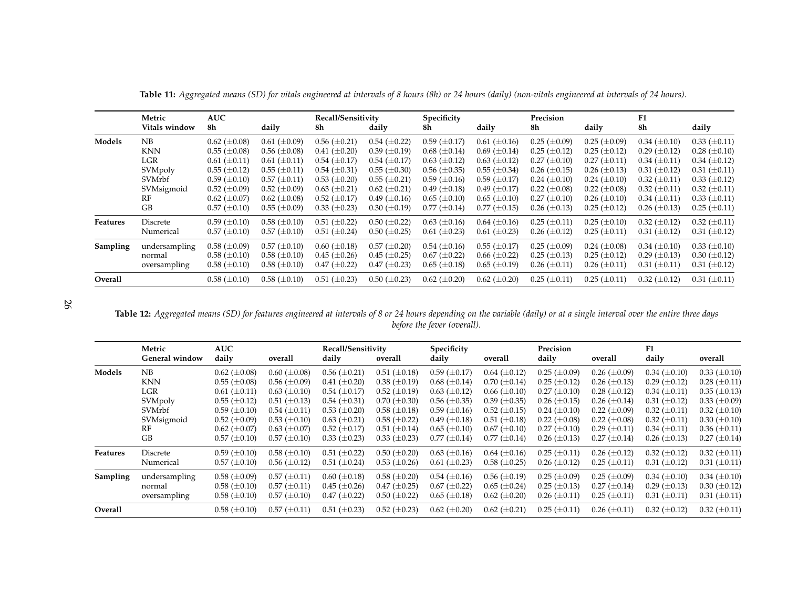|          | Metric        | AUC                 |                     | Recall/Sensitivity  |                     | Specificity         |                     | Precision           |                     | F1                  |                     |
|----------|---------------|---------------------|---------------------|---------------------|---------------------|---------------------|---------------------|---------------------|---------------------|---------------------|---------------------|
|          | Vitals window | 8h                  | daily               | 8h                  | daily               | 8h                  | daily               | 8h                  | daily               | 8h                  | daily               |
| Models   | NB            | $0.62 \ (\pm 0.08)$ | $0.61 (\pm 0.09)$   | $0.56 \ (\pm 0.21)$ | $0.54~(\pm 0.22)$   | $0.59 \ (\pm 0.17)$ | $0.61 (\pm 0.16)$   | $0.25 \ (\pm 0.09)$ | $0.25 \ (\pm 0.09)$ | $0.34~(\pm 0.10)$   | $0.33 \ (\pm 0.11)$ |
|          | KNN           | $0.55 \ (\pm 0.08)$ | $0.56 \ (\pm 0.08)$ | $0.41 (\pm 0.20)$   | 0.39 $(\pm 0.19)$   | $0.68 \ (\pm 0.14)$ | $0.69 \ (\pm 0.14)$ | $0.25 \ (\pm 0.12)$ | $0.25 \ (\pm 0.12)$ | $0.29 \ (\pm 0.12)$ | $0.28 \ (\pm 0.10)$ |
|          | LGR           | $0.61 (\pm 0.11)$   | $0.61 \ (\pm 0.11)$ | $0.54~(\pm 0.17)$   | $0.54~(\pm 0.17)$   | $0.63 \ (\pm 0.12)$ | $0.63 \ (\pm 0.12)$ | $0.27 (\pm 0.10)$   | $0.27 (\pm 0.11)$   | $0.34 \ (\pm 0.11)$ | $0.34~(\pm 0.12)$   |
|          | SVMpoly       | $0.55 (\pm 0.12)$   | $0.55 \ (\pm 0.11)$ | $0.54 \ (\pm 0.31)$ | $0.55 \ (\pm 0.30)$ | $0.56 \ (\pm 0.35)$ | $0.55 (\pm 0.34)$   | $0.26 \ (\pm 0.15)$ | $0.26 \ (\pm 0.13)$ | $0.31 (\pm 0.12)$   | $0.31 (\pm 0.11)$   |
|          | SVMrbf        | $0.59 \ (\pm 0.10)$ | $0.57 \ (\pm 0.11)$ | $0.53 \ (\pm 0.20)$ | $0.55 (\pm 0.21)$   | $0.59 \ (\pm 0.16)$ | $0.59 \ (\pm 0.17)$ | $0.24~(\pm 0.10)$   | $0.24~(\pm 0.10)$   | $0.32 \ (\pm 0.11)$ | $0.33 \ (\pm 0.12)$ |
|          | SVMsigmoid    | $0.52 \ (\pm 0.09)$ | $0.52 \ (\pm 0.09)$ | $0.63 \ (\pm 0.21)$ | $0.62 \ (\pm 0.21)$ | $0.49 \ (\pm 0.18)$ | $0.49 \ (\pm 0.17)$ | $0.22~(\pm 0.08)$   | $0.22~(\pm 0.08)$   | $0.32 \ (\pm 0.11)$ | $0.32 \ (\pm 0.11)$ |
|          | RF            | $0.62 \ (\pm 0.07)$ | $0.62 \ (\pm 0.08)$ | $0.52 \ (\pm 0.17)$ | $0.49 \ (\pm 0.16)$ | $0.65 \ (\pm 0.10)$ | $0.65 \ (\pm 0.10)$ | $0.27 (\pm 0.10)$   | $0.26 \ (\pm 0.10)$ | $0.34 \ (\pm 0.11)$ | $0.33 \ (\pm 0.11)$ |
|          | GB            | $0.57 \ (\pm 0.10)$ | $0.55 \ (\pm 0.09)$ | $0.33 \ (\pm 0.23)$ | $0.30~(\pm 0.19)$   | $0.77 (\pm 0.14)$   | $0.77 (\pm 0.15)$   | $0.26 \ (\pm 0.13)$ | $0.25 \ (\pm 0.12)$ | $0.26 \ (\pm 0.13)$ | $0.25 \ (\pm 0.11)$ |
| Features | Discrete      | $0.59 \ (\pm 0.10)$ | $0.58 \ (\pm 0.10)$ | $0.51 (\pm 0.22)$   | $0.50~(\pm 0.22)$   | $0.63 \ (\pm 0.16)$ | $0.64~(\pm 0.16)$   | $0.25 \ (\pm 0.11)$ | $0.25 \ (\pm 0.10)$ | $0.32 \ (\pm 0.12)$ | $0.32 \ (\pm 0.11)$ |
|          | Numerical     | $0.57 \ (\pm 0.10)$ | $0.57 \ (\pm 0.10)$ | $0.51 (\pm 0.24)$   | $0.50~(\pm 0.25)$   | $0.61 (\pm 0.23)$   | $0.61 (\pm 0.23)$   | $0.26 \ (\pm 0.12)$ | $0.25 \ (\pm 0.11)$ | $0.31 (\pm 0.12)$   | $0.31 (\pm 0.12)$   |
| Sampling | undersampling | $0.58 \ (\pm 0.09)$ | $0.57 \ (\pm 0.10)$ | $0.60 \ (\pm 0.18)$ | $0.57 (\pm 0.20)$   | $0.54~(\pm 0.16)$   | $0.55 (\pm 0.17)$   | $0.25 \ (\pm 0.09)$ | $0.24~(\pm 0.08)$   | $0.34~(\pm 0.10)$   | $0.33 \ (\pm 0.10)$ |
|          | normal        | $0.58 \ (\pm 0.10)$ | $0.58 \ (\pm 0.10)$ | $0.45 \ (\pm 0.26)$ | $0.45 \ (\pm 0.25)$ | $0.67 \ (\pm 0.22)$ | $0.66 \ (\pm 0.22)$ | $0.25 \ (\pm 0.13)$ | $0.25 \ (\pm 0.12)$ | $0.29 \ (\pm 0.13)$ | $0.30 \ (\pm 0.12)$ |
|          | oversampling  | $0.58 \ (\pm 0.10)$ | $0.58 \ (\pm 0.10)$ | $0.47 (\pm 0.22)$   | $0.47 (\pm 0.23)$   | $0.65 \ (\pm 0.18)$ | $0.65 \ (\pm 0.19)$ | $0.26 \ (\pm 0.11)$ | $0.26 \ (\pm 0.11)$ | $0.31 (\pm 0.11)$   | $0.31 (\pm 0.12)$   |
| Overall  |               | $0.58 \ (\pm 0.10)$ | $0.58 \ (\pm 0.10)$ | $0.51 (\pm 0.23)$   | $0.50~(\pm 0.23)$   | $0.62 \ (\pm 0.20)$ | $0.62 \ (\pm 0.20)$ | $0.25 \ (\pm 0.11)$ | $0.25 \ (\pm 0.11)$ | $0.32 \ (\pm 0.12)$ | $0.31 (\pm 0.11)$   |

**Table 11:** Aggregated means (SD) for vitals engineered at intervals of 8 hours (8h) or 24 hours (daily) (non-vitals engineered at intervals of 24 hours).

26

**Table 12:** Aggregated means (SD) for features engineered at intervals of 8 or 24 hours depending on the variable (daily) or at a single interval over the entire three days *before the fever (overall).*

<span id="page-25-0"></span>

|                 | Metric<br>General window | <b>AUC</b><br>daily | overall             | Recall/Sensitivity<br>daily | overall               | Specificity<br>daily | overall             | Precision<br>daily  | overall               | F1<br>daily         | overall             |
|-----------------|--------------------------|---------------------|---------------------|-----------------------------|-----------------------|----------------------|---------------------|---------------------|-----------------------|---------------------|---------------------|
| Models          | NB                       | $0.62 \ (\pm 0.08)$ | $0.60~(\pm 0.08)$   | $0.56 \ (\pm 0.21)$         | $0.51 (\pm 0.18)$     | $0.59 \ (\pm 0.17)$  | $0.64~(\pm 0.12)$   | $0.25 \ (\pm 0.09)$ | $0.26 \ (\pm 0.09)$   | $0.34 \ (\pm 0.10)$ | $0.33 \ (\pm 0.10)$ |
|                 | <b>KNN</b>               | $0.55 (\pm 0.08)$   | $0.56 \ (\pm 0.09)$ | $0.41 (\pm 0.20)$           | $0.38 \ (\pm 0.19)$   | $0.68 \ (\pm 0.14)$  | $0.70~(\pm 0.14)$   | $0.25 (\pm 0.12)$   | $0.26 \ (\pm 0.13)$   | $0.29 \ (\pm 0.12)$ | $0.28 (\pm 0.11)$   |
|                 | LGR                      | $0.61 (\pm 0.11)$   | $0.63 \ (\pm 0.10)$ | $0.54~(\pm 0.17)$           | $0.52 \ (\pm 0.19)$   | $0.63 \ (\pm 0.12)$  | $0.66 \ (\pm 0.10)$ | $0.27 (\pm 0.10)$   | $0.28 \ (\pm 0.12)$   | $0.34 \ (\pm 0.11)$ | $0.35 \ (\pm 0.13)$ |
|                 | SVMpoly                  | $0.55 (\pm 0.12)$   | $0.51 (\pm 0.13)$   | $0.54~(\pm 0.31)$           | $0.70~(\pm 0.30)$     | $0.56 \ (\pm 0.35)$  | $0.39 \ (\pm 0.35)$ | $0.26 \ (\pm 0.15)$ | $0.26 \ (\pm 0.14)$   | $0.31 (\pm 0.12)$   | $0.33 \ (\pm 0.09)$ |
|                 | SVMrbf                   | $0.59 \ (\pm 0.10)$ | $0.54~(\pm 0.11)$   | $0.53 \ (\pm 0.20)$         | $0.58 \ (\pm 0.18)$   | $0.59 \ (\pm 0.16)$  | $0.52~(\pm 0.15)$   | $0.24~(\pm 0.10)$   | $0.22~(\pm 0.09)$     | $0.32 \ (\pm 0.11)$ | $0.32 \ (\pm 0.10)$ |
|                 | SVMsigmoid               | $0.52~(\pm 0.09)$   | $0.53 \ (\pm 0.10)$ | $0.63 \ (\pm 0.21)$         | $0.58$ ( $\pm 0.22$ ) | $0.49 \ (\pm 0.18)$  | $0.51 (\pm 0.18)$   | $0.22~(\pm 0.08)$   | $0.22~(\pm 0.08)$     | $0.32 \ (\pm 0.11)$ | $0.30 \ (\pm 0.10)$ |
|                 | RF                       | $0.62~(\pm 0.07)$   | $0.63~(\pm 0.07)$   | $0.52 \ (\pm 0.17)$         | $0.51 (\pm 0.14)$     | $0.65 \ (\pm 0.10)$  | $0.67 \ (\pm 0.10)$ | $0.27 (\pm 0.10)$   | $0.29 \ (\pm 0.11)$   | $0.34 \ (\pm 0.11)$ | $0.36 \ (\pm 0.11)$ |
|                 | GB                       | $0.57 (\pm 0.10)$   | $0.57 (\pm 0.10)$   | $0.33 \ (\pm 0.23)$         | $0.33 \ (\pm 0.23)$   | $0.77 (\pm 0.14)$    | $0.77 (\pm 0.14)$   | $0.26 \ (\pm 0.13)$ | $0.27 (\pm 0.14)$     | $0.26 \ (\pm 0.13)$ | $0.27 (\pm 0.14)$   |
| <b>Features</b> | Discrete                 | $0.59 \ (\pm 0.10)$ | $0.58 \ (\pm 0.10)$ | $0.51 (\pm 0.22)$           | $0.50~(\pm 0.20)$     | $0.63 \ (\pm 0.16)$  | $0.64~(\pm 0.16)$   | $0.25 \ (\pm 0.11)$ | $0.26 \ (\pm 0.12)$   | $0.32 \ (\pm 0.12)$ | $0.32 \ (\pm 0.11)$ |
|                 | Numerical                | $0.57 (\pm 0.10)$   | $0.56 \ (\pm 0.12)$ | $0.51 (\pm 0.24)$           | $0.53 \ (\pm 0.26)$   | $0.61~(\pm 0.23)$    | $0.58~(\pm 0.25)$   | $0.26 \ (\pm 0.12)$ | $0.25 \ (\pm 0.11)$   | $0.31 (\pm 0.12)$   | $0.31 (\pm 0.11)$   |
| Sampling        | undersampling            | $0.58 \ (\pm 0.09)$ | $0.57 (\pm 0.11)$   | $0.60~(\pm 0.18)$           | $0.58 \ (\pm 0.20)$   | $0.54~(\pm 0.16)$    | $0.56 \ (\pm 0.19)$ | $0.25 \ (\pm 0.09)$ | $0.25$ ( $\pm 0.09$ ) | $0.34 \ (\pm 0.10)$ | $0.34 \ (\pm 0.10)$ |
|                 | normal                   | $0.58 \ (\pm 0.10)$ | $0.57 (\pm 0.11)$   | $0.45 \ (\pm 0.26)$         | $0.47 (\pm 0.25)$     | $0.67 (\pm 0.22)$    | $0.65 \ (\pm 0.24)$ | $0.25 \ (\pm 0.13)$ | $0.27 (\pm 0.14)$     | $0.29 \ (\pm 0.13)$ | $0.30 (\pm 0.12)$   |
|                 | oversampling             | $0.58 \ (\pm 0.10)$ | $0.57 \ (\pm 0.10)$ | $0.47 (\pm 0.22)$           | $0.50~(\pm 0.22)$     | $0.65 \ (\pm 0.18)$  | $0.62 \ (\pm 0.20)$ | $0.26~(\pm 0.11)$   | $0.25 \ (\pm 0.11)$   | $0.31 (\pm 0.11)$   | $0.31 (\pm 0.11)$   |
| Overall         |                          | $0.58 \ (\pm 0.10)$ | $0.57 (\pm 0.11)$   | $0.51 (\pm 0.23)$           | $0.52 \ (\pm 0.23)$   | $0.62~(\pm 0.20)$    | $0.62 \ (\pm 0.21)$ | $0.25 \ (\pm 0.11)$ | $0.26 \ (\pm 0.11)$   | $0.32 \ (\pm 0.12)$ | $0.32 \ (\pm 0.11)$ |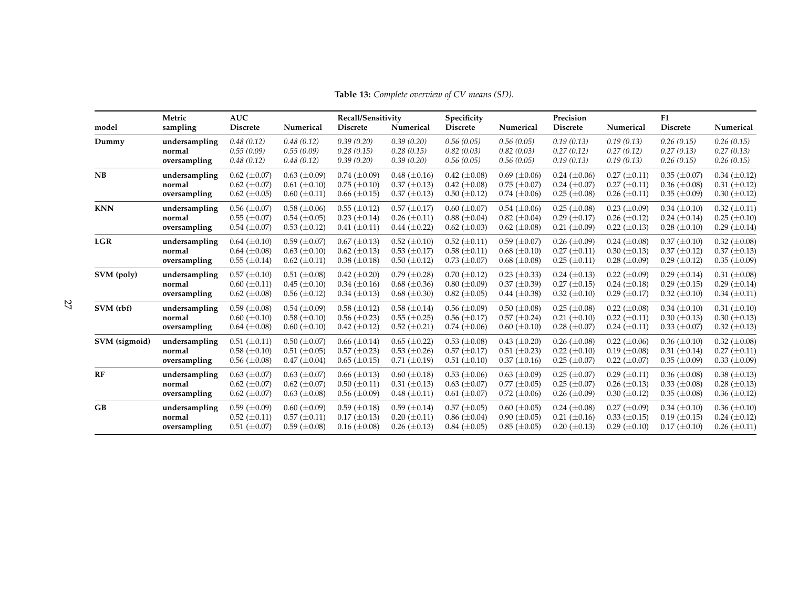**Metric AUC Recall/Sensitivity Specificity Precision F1Discrete** model sampling Discrete Numerical Discrete Numerical Discrete Numerical Discrete Numerical Discrete Numerical **Dummy undersamplingg**  $0.48(0.12)$   $0.48(0.12)$   $0.39(0.20)$   $0.39(0.20)$   $0.56(0.05)$   $0.56(0.05)$   $0.19(0.13)$   $0.19(0.13)$   $0.26(0.15)$   $0.26(0.15)$ **normal** $1$  0.55 (0.09) 0.55 (0.09) 0.28 (0.15) 0.28 (0.15) 0.82 (0.03) 0.82 (0.03) 0.27 (0.12) 0.27 (0.12) 0.27 (0.13) 0.27 (0.13) **oversamplingg**  $0.48(0.12)$   $0.48(0.12)$   $0.39(0.20)$   $0.39(0.20)$   $0.56(0.05)$   $0.56(0.05)$   $0.19(0.13)$   $0.19(0.13)$   $0.26(0.15)$   $0.26(0.15)$ **NB undersamplingg**  $0.62 (\pm 0.07)$   $0.63 (\pm 0.09)$   $0.74 (\pm 0.09)$   $0.48 (\pm 0.16)$   $0.42 (\pm 0.08)$   $0.69 (\pm 0.06)$   $0.24 (\pm 0.06)$   $0.27 (\pm 0.11)$   $0.35 (\pm 0.07)$   $0.34 (\pm 0.12)$ **normal** $1$  0.62 ( $\pm$ 0.07) 0.61 ( $\pm$ 0.10) 0.75 ( $\pm$ 0.10) 0.37 ( $\pm$ 0.13) 0.42 ( $\pm$ 0.08) 0.75 ( $\pm$ 0.07) 0.24 ( $\pm$ 0.07) 0.27 ( $\pm$ 0.11) 0.36 ( $\pm$ 0.08) 0.31 ( $\pm$ 0.12) **oversamplingg**  $0.62 \ (\pm 0.05)$   $0.60 \ (\pm 0.11)$   $0.66 \ (\pm 0.15)$   $0.37 \ (\pm 0.13)$   $0.50 \ (\pm 0.12)$   $0.74 \ (\pm 0.06)$   $0.25 \ (\pm 0.08)$   $0.26 \ (\pm 0.11)$   $0.35 \ (\pm 0.09)$   $0.30 \ (\pm 0.12)$ **KNN undersamplingg**  $0.56 \ (\pm 0.07)$   $0.58 \ (\pm 0.06)$   $0.55 \ (\pm 0.12)$   $0.57 \ (\pm 0.17)$   $0.60 \ (\pm 0.07)$   $0.54 \ (\pm 0.06)$   $0.25 \ (\pm 0.08)$   $0.23 \ (\pm 0.09)$   $0.34 \ (\pm 0.10)$   $0.32 \ (\pm 0.11)$ **normal** $0.55 \ (\pm 0.07)$   $0.54 \ (\pm 0.05)$   $0.23 \ (\pm 0.14)$   $0.26 \ (\pm 0.11)$   $0.88 \ (\pm 0.04)$   $0.82 \ (\pm 0.04)$   $0.29 \ (\pm 0.17)$   $0.26 \ (\pm 0.12)$   $0.24 \ (\pm 0.14)$   $0.25 \ (\pm 0.10)$ **oversamplingg**  $0.54 (\pm 0.07)$   $0.53 (\pm 0.12)$   $0.41 (\pm 0.11)$   $0.44 (\pm 0.22)$   $0.62 (\pm 0.03)$   $0.62 (\pm 0.08)$   $0.21 (\pm 0.09)$   $0.22 (\pm 0.13)$   $0.28 (\pm 0.10)$   $0.29 (\pm 0.14)$ **LGR undersamplingg**  $0.64 (\pm 0.10)$   $0.59 (\pm 0.07)$   $0.67 (\pm 0.13)$   $0.52 (\pm 0.10)$   $0.52 (\pm 0.11)$   $0.59 (\pm 0.07)$   $0.26 (\pm 0.09)$   $0.24 (\pm 0.08)$   $0.37 (\pm 0.10)$   $0.32 (\pm 0.08)$ **normal** $0.64 (\pm 0.08)$   $0.63 (\pm 0.10)$   $0.62 (\pm 0.13)$   $0.53 (\pm 0.17)$   $0.58 (\pm 0.11)$   $0.68 (\pm 0.10)$   $0.27 (\pm 0.11)$   $0.30 (\pm 0.13)$   $0.37 (\pm 0.12)$   $0.37 (\pm 0.13)$ **oversamplingg**  $0.55 (\pm 0.14)$   $0.62 (\pm 0.11)$   $0.38 (\pm 0.18)$   $0.50 (\pm 0.12)$   $0.73 (\pm 0.07)$   $0.68 (\pm 0.08)$   $0.25 (\pm 0.11)$   $0.28 (\pm 0.09)$   $0.29 (\pm 0.12)$   $0.35 (\pm 0.09)$ **SVM (poly) undersamplingg**  $0.57 (\pm 0.10)$   $0.51 (\pm 0.08)$   $0.42 (\pm 0.20)$   $0.79 (\pm 0.28)$   $0.70 (\pm 0.12)$   $0.23 (\pm 0.33)$   $0.24 (\pm 0.13)$   $0.22 (\pm 0.09)$   $0.29 (\pm 0.14)$   $0.31 (\pm 0.08)$ **normal** $0.60 (\pm 0.11)$   $0.45 (\pm 0.10)$   $0.34 (\pm 0.16)$   $0.68 (\pm 0.36)$   $0.80 (\pm 0.09)$   $0.37 (\pm 0.39)$   $0.27 (\pm 0.15)$   $0.24 (\pm 0.18)$   $0.29 (\pm 0.15)$   $0.29 (\pm 0.14)$ **oversamplingg**  $0.62 (\pm 0.08)$   $0.56 (\pm 0.12)$   $0.34 (\pm 0.13)$   $0.68 (\pm 0.30)$   $0.82 (\pm 0.05)$   $0.44 (\pm 0.38)$   $0.32 (\pm 0.10)$   $0.29 (\pm 0.17)$   $0.32 (\pm 0.10)$   $0.34 (\pm 0.11)$ **SVM (rbf) undersamplingg**  $0.59 (\pm 0.08)$   $0.54 (\pm 0.09)$   $0.58 (\pm 0.12)$   $0.58 (\pm 0.14)$   $0.56 (\pm 0.09)$   $0.50 (\pm 0.08)$   $0.25 (\pm 0.08)$   $0.22 (\pm 0.08)$   $0.34 (\pm 0.10)$   $0.31 (\pm 0.10)$ **normal** $0.60 \ (\pm 0.10)$   $0.58 \ (\pm 0.10)$   $0.56 \ (\pm 0.23)$   $0.55 \ (\pm 0.25)$   $0.56 \ (\pm 0.17)$   $0.57 \ (\pm 0.24)$   $0.21 \ (\pm 0.10)$   $0.22 \ (\pm 0.11)$   $0.30 \ (\pm 0.13)$   $0.30 \ (\pm 0.13)$ **oversamplingg**  $0.64 \pm 0.08$ )  $0.60 \pm 0.10$   $0.42 \pm 0.12$   $0.52 \pm 0.21$   $0.74 \pm 0.06$ )  $0.60 \pm 0.10$   $0.28 \pm 0.07$   $0.24 \pm 0.11$   $0.33 \pm 0.07$   $0.32 \pm 0.07$ **SVM (sigmoid) undersamplingg**  $0.51 (\pm 0.11)$   $0.50 (\pm 0.07)$   $0.66 (\pm 0.14)$   $0.65 (\pm 0.22)$   $0.53 (\pm 0.08)$   $0.43 (\pm 0.20)$   $0.26 (\pm 0.08)$   $0.22 (\pm 0.06)$   $0.36 (\pm 0.10)$   $0.32 (\pm 0.08)$ **normal** $0.58 \ (\pm 0.10)$   $0.51 \ (\pm 0.05)$   $0.57 \ (\pm 0.23)$   $0.53 \ (\pm 0.26)$   $0.57 \ (\pm 0.17)$   $0.51 \ (\pm 0.23)$   $0.22 \ (\pm 0.10)$   $0.19 \ (\pm 0.08)$   $0.31 \ (\pm 0.14)$   $0.27 \ (\pm 0.11)$ **oversamplingg**  $0.56 (\pm 0.08)$   $0.47 (\pm 0.04)$   $0.65 (\pm 0.15)$   $0.71 (\pm 0.19)$   $0.51 (\pm 0.10)$   $0.37 (\pm 0.16)$   $0.25 (\pm 0.07)$   $0.22 (\pm 0.07)$   $0.35 (\pm 0.09)$   $0.33 (\pm 0.09)$ **RF undersamplingg**  $0.63 (\pm 0.07)$   $0.63 (\pm 0.07)$   $0.66 (\pm 0.13)$   $0.60 (\pm 0.18)$   $0.53 (\pm 0.06)$   $0.63 (\pm 0.09)$   $0.25 (\pm 0.07)$   $0.29 (\pm 0.11)$   $0.36 (\pm 0.08)$   $0.38 (\pm 0.13)$ **normal** $0.62 \ (\pm 0.07) \quad 0.62 \ (\pm 0.07) \quad 0.50 \ (\pm 0.11) \quad 0.31 \ (\pm 0.13) \quad 0.63 \ (\pm 0.07) \quad 0.77 \ (\pm 0.05) \quad 0.25 \ (\pm 0.07) \quad 0.26 \ (\pm 0.13) \quad 0.33 \ (\pm 0.08) \quad 0.28 \ (\pm 0.13)$ **oversamplingg**  $0.62 \ (\pm 0.07)$   $0.63 \ (\pm 0.08)$   $0.56 \ (\pm 0.09)$   $0.48 \ (\pm 0.11)$   $0.61 \ (\pm 0.07)$   $0.72 \ (\pm 0.06)$   $0.26 \ (\pm 0.09)$   $0.30 \ (\pm 0.12)$   $0.35 \ (\pm 0.08)$   $0.36 \ (\pm 0.12)$ **GB undersamplingg**  $0.59 \ (\pm 0.09)$   $0.60 \ (\pm 0.09)$   $0.59 \ (\pm 0.18)$   $0.59 \ (\pm 0.14)$   $0.57 \ (\pm 0.05)$   $0.60 \ (\pm 0.05)$   $0.24 \ (\pm 0.08)$   $0.27 \ (\pm 0.09)$   $0.34 \ (\pm 0.10)$   $0.36 \ (\pm 0.10)$ **normal** $0.52 \ (\pm 0.11)$   $0.57 \ (\pm 0.11)$   $0.17 \ (\pm 0.13)$   $0.20 \ (\pm 0.11)$   $0.86 \ (\pm 0.04)$   $0.90 \ (\pm 0.05)$   $0.21 \ (\pm 0.16)$   $0.33 \ (\pm 0.15)$   $0.19 \ (\pm 0.15)$   $0.24 \ (\pm 0.12)$ **oversamplingg**  $0.51 (\pm 0.07)$   $0.59 (\pm 0.08)$   $0.16 (\pm 0.08)$   $0.26 (\pm 0.13)$   $0.84 (\pm 0.05)$   $0.85 (\pm 0.05)$   $0.20 (\pm 0.13)$   $0.29 (\pm 0.10)$   $0.17 (\pm 0.10)$   $0.26 (\pm 0.11)$ 

**Table 13:** *Complete overview of CV means (SD).*

<span id="page-26-0"></span>27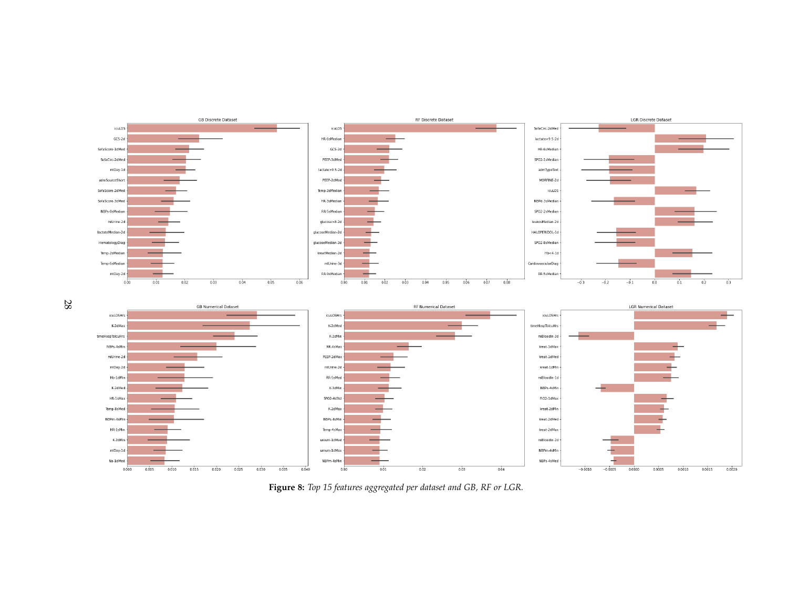

<span id="page-27-0"></span>28

Figure 8: Top 15 features aggregated per dataset and GB, RF or LGR.